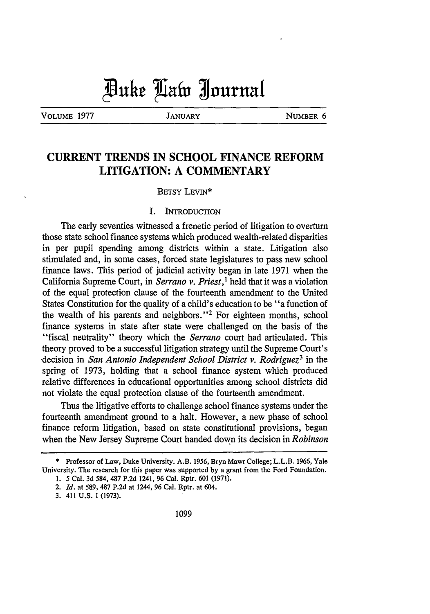VOLUME 1977 **JANUARY** NUMBER 6

# **CURRENT TRENDS IN SCHOOL FINANCE REFORM LITIGATION: A COMMENTARY**

#### BETSY LEVIN\*

#### I. INTRODUCTION

The early seventies witnessed a frenetic period of litigation to overturn those state school finance systems which produced wealth-related disparities in per pupil spending among districts within a state. Litigation also stimulated and, in some cases, forced state legislatures to pass new school finance laws. This period of judicial activity began in late 1971 when the California Supreme Court, in *Serrano v. Priest,1* held that it was a violation of the equal protection clause of the fourteenth amendment to the United States Constitution for the quality of a child's education to be "a function of the wealth of his parents and neighbors."<sup>2</sup> For eighteen months, school finance systems in state after state were challenged on the basis of the "fiscal neutrality" theory which the *Serrano* court had articulated. This theory proved to be a successful litigation strategy until the Supreme Court's decision in *San Antonio Independent School District v. Rodriguez3* in the spring of 1973, holding that a school finance system which produced relative differences in educational opportunities among school districts did not violate the equal protection clause of the fourteenth amendment.

Thus the litigative efforts to challenge school finance systems under the fourteenth amendment ground to a halt. However, a new phase of school finance reform litigation, based on state constitutional provisions, began when the New Jersey Supreme Court handed down its decision in *Robinson*

<sup>\*</sup> Professor of Law, Duke University. A.B. 1956, Bryn Mawr College; L.L.B. 1966, Yale University. The research for this paper was supported by a grant from the Ford Foundation. 1. *5* Cal. **3d** 584, 487 P.2d 1241, **96** Cal. Rptr. 601 (1971).

<sup>2.</sup> *Id.* at **589, 487 P.2d** at 1244, 96 Cal. Rptr. at 604.

<sup>3. 411</sup> U.S. **1** (1973).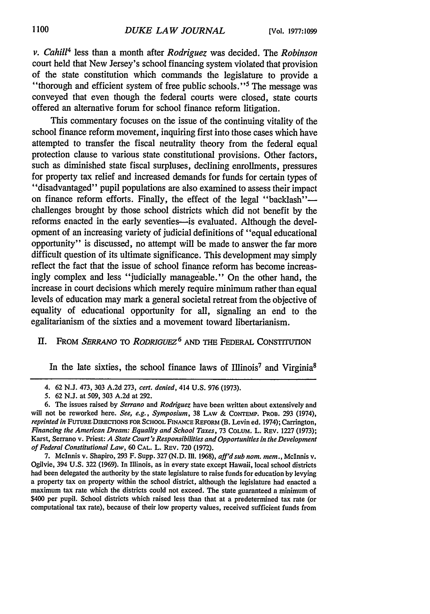*v. Cahill4* less than a month after *Rodriguez* was decided. The *Robinson* court held that New Jersey's school financing system violated that provision of the state constitution which commands the legislature to provide a "thorough and efficient system of free public schools."<sup>5</sup> The message was conveyed that even though the federal courts were closed, state courts offered an alternative forum for school finance reform litigation.

This commentary focuses on the issue of the continuing vitality of the school finance reform movement, inquiring first into those cases which have attempted to transfer the fiscal neutrality theory from the federal equal protection clause to various state constitutional provisions. Other factors, such as diminished state fiscal surpluses, declining enrollments, pressures for property tax relief and increased demands for funds for certain types of "disadvantaged" pupil populations are also examined to assess their impact on finance reform efforts. Finally, the effect of the legal "backlash"challenges brought by those school districts which did not benefit by the reforms enacted in the early seventies-is evaluated. Although the development of an increasing variety of judicial definitions of "equal educational opportunity" is discussed, no attempt will be made to answer the far more difficult question of its ultimate significance. This development may simply reflect the fact that the issue of school finance reform has become increasingly complex and less "judicially manageable." On the other hand, the increase in court decisions which merely require minimum rather than equal levels of education may mark a general societal retreat from the objective of equality of educational opportunity for all, signaling an end to the egalitarianism of the sixties and a movement toward libertarianism.

## **I1.** FROM *SERRANO* TO *RODRIGUEZ6* AND THE FEDERAL CONSTITUTION

In the late sixties, the school finance laws of Illinois<sup>7</sup> and Virginia<sup>8</sup>

7. Mclnnis v. Shapiro, 293 F. Supp. 327 (N.D. Ill. 1968), *aff'd sub nom. mem.,* McInnis v. Ogilvie, 394 U.S. 322 (1969). In Illinois, as in every state except Hawaii, local school districts had been delegated the authority by the state legislature to raise funds for education by levying a property tax on property within the school district, although the legislature had enacted a maximum tax rate which the districts could not exceed. The state guaranteed a minimum of \$400 per pupil. School districts which raised less than that at a predetermined tax rate (or computational tax rate), because of their low property values, received sufficient funds from

<sup>4. 62</sup> N.J. 473, 303 A.2d 273, *cert. denied,* 414 U.S. 976 (1973).

<sup>5. 62</sup> N.J. at 509, 303 A.2d at 292.

<sup>6.</sup> The issues raised by *Serrano* and *Rodriguez* have been written about extensively and will not be reworked here. *See, e.g., Symposium,* 38 LAW & CONTEMP. PROD. 293 (1974), *reprinted in* **FUTURE.DIRECTIONS** FOR **SCHOOL FINANCE** REFORM (B. Levin ed. 1974); Carrington, *Financing the American Dream: Equality and School Taxes,* 73 **COLUM.** L. REV. 1227 (1973); Karst, Serrano v. Priest: *A State Court's Responsibilities and Opportunities in the Development of Federal Constitutional Law,* 60 **CAL.** L. REV. 720 (1972).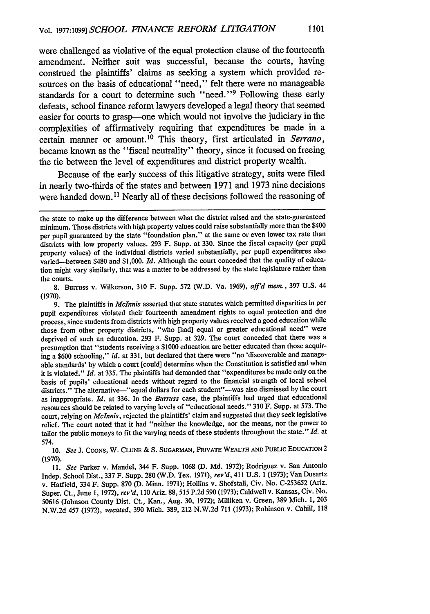were challenged as violative of the equal protection clause of the fourteenth amendment. Neither suit was successful, because the courts, having construed the plaintiffs' claims as seeking a system which provided resources on the basis of educational "need," felt there were no manageable standards for a court to determine such "need."<sup>9</sup> Following these early defeats, school finance reform lawyers developed a legal theory that seemed easier for courts to grasp--one which would not involve the judiciary in the complexities of affirmatively requiring that expenditures be made in a certain manner or amount.10 This theory, first articulated in *Serrano,* became known as the "fiscal neutrality" theory, since it focused on freeing the tie between the level of expenditures and district property wealth.

Because of the early success of this litigative strategy, suits were filed in nearly two-thirds of the states and between **1971** and **1973** nine decisions were handed down. **"** Nearly all of these decisions followed the reasoning of

8. Burruss v. Wilkerson, 310 F. Supp. 572 (W.D. Va. 1969), *aff'd mem.,* 397 U.S. 44 (1970).

9. The plaintiffs in *McInnis* asserted that state statutes which permitted disparities in per pupil expenditures violated their fourteenth amendment rights to equal protection and due process, since students from districts with high property values received a good education while those from other property districts, "who [had] equal or greater educational need" were deprived of such an education. 293 F. Supp. at 329. The court conceded that there was a presumption that "students receiving a \$1000 education are better educated than those acquiring a \$600 schooling," *id.* at 331, but declared that there were "no 'discoverable and manageable standards' by which a court [could] determine when the Constitution is satisfied and when it is violated." *Id.* at 335. The plaintiffs had demanded that "expenditures be made only on the basis of pupils' educational needs without regard to the financial strength of local school districts." The alternative-"equal dollars for each student"--was also dismissed by the court as inappropriate. *Id.* at 336. In the *Burruss* case, the plaintiffs had urged that educational resources should be related to varying levels of "educational needs." 310 F. Supp. at 573. The court, relying on *Mclnnis,* rejected the plaintiffs' claim and suggested that they seek legislative relief. The court noted that it had "neither the knowledge, nor the means, nor the power to tailor the public moneys to fit the varying needs of these students throughout the state." *Id.* at 574.

*10. See* J. COONS, W. **CLUNE & S.** SUGARMAN, PRIVATE WEALTH **AND** PUBLIC EDUCATION 2 (1970).

*11. See* Parker v. Mandel, 344 F. Supp. 1068 (D. Md. 1972); Rodriguez v. San Antonio Indep. School Dist., 337 F. Supp. 280 (W.D. Tex. 1971), *rev'd,* 411 U.S. 1 (1973); Van Dusartz v. Hatfield, 334 F. Supp. 870 (D. Minn. 1971); Hollins v. Shofstall, Civ. No. C-253652 (Ariz. Super. Ct., June **1,** 1972), *rev'd,* 110 Ariz. 88, 515 P.2d 590 (1973); Caldwell v. Kansas, Civ. No. 50616 (Johnson County Dist. Ct., Kan., Aug. 30, 1972); Milliken v. Green, 389 Mich. **1,** 203 N.W.2d 457 (1972), *vacated,* 390 Mich. 389, 212 N.W.2d 711 (1973); Robinson v. Cahill, 118

the state to make up the difference between what the district raised and the state-guaranteed minimum. Those districts with high property values could raise substantially more than the \$400 per pupil guaranteed by the state "foundation plan," at the same or even lower tax rate than districts with low property values. 293 F. Supp. at 330. Since the fiscal capacity (per pupil property values) of the individual districts varied substantially, per pupil expenditures also varied-between \$480 and \$1,000. *Id.* Although the court conceded that the quality of education might vary similarly, that was a matter to be addressed by the state legislature rather than the courts.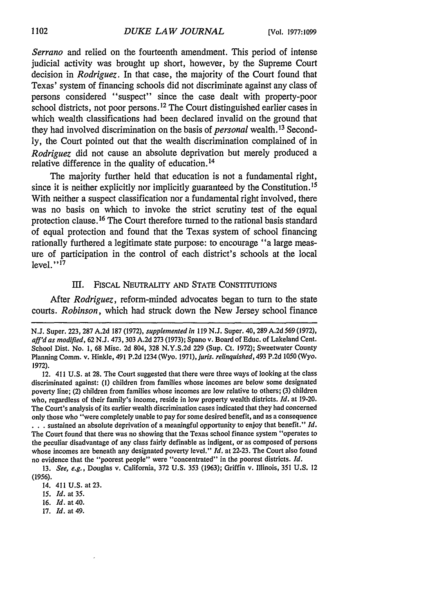*Serrano* and relied on the fourteenth amendment. This period of intense judicial activity was brought up short, however, **by** the Supreme Court decision in *Rodriguez.* In that case, the majority of the Court found that Texas' system of financing schools did not discriminate against any class of persons considered "suspect" since the case dealt with property-poor school districts, not poor persons.<sup>12</sup> The Court distinguished earlier cases in which wealth classifications had been declared invalid on the ground that they had involved discrimination on the basis of *personal* wealth.13 Second**ly,** the Court pointed out that the wealth discrimination complained of in *Rodriguez* did not cause an absolute deprivation but merely produced a relative difference in the quality of education.14

The majority further held that education is not a fundamental right, since it is neither explicitly nor implicitly guaranteed **by** the Constitution. 15 With neither a suspect classification nor a fundamental right involved, there was no basis on which to invoke the strict scrutiny test of the equal protection clause. **16** The Court therefore turned to the rational basis standard of equal protection and found that the Texas system of school financing rationally furthered a legitimate state purpose: to encourage "a large measure of participation in the control of each district's schools at the local level." **1 7**

#### III. FISCAL NEUTRALITY AND STATE CONSTITUTIONS

After *Rodriguez,* reform-minded advocates began to turn to the state courts. *Robinson,* which had struck down the New Jersey school finance

- 16. *Id.* at 40.
- 17. *Id.* at 49.

N.J. Super. 223, 287 A.2d 187 (1972), *supplemented in* 119 N.J. Super. 40, 289 A.2d *569* (1972), *aff'd as modified,* 62 N.J. 473, **303** A.2d **273** (1973); Spano v. Board of Educ. of Lakeland Cent. School Dist. No. **1,** 68 Misc. **2d** 804, **328** N.Y.S.2d 229 (Sup. Ct. 1972); Sweetwater County Planning Comm. v. Hinkle, 491 P.2d 1234 (Wyo. 1971), *juris. relinquished,* 493 P.2d 1050 (Wyo. 1972).

<sup>12. 411</sup> U.S. at 28. The Court suggested that there were three ways of looking at the class discriminated against: **(1)** children from families whose incomes are below some designated poverty line; (2) children from families whose incomes are low relative to others; **(3)** children who, regardless of their family's income, reside in low property wealth districts. *Id.* at 19-20. The Court's analysis of its earlier wealth discrimination cases indicated that they had concerned only those who "were completely unable to pay for some desired benefit, and as a consequence **• . .** sustained an absolute deprivation of a meaningful opportunity to enjoy that benefit." *Id.* The Court found that there was no showing that the Texas school finance system "operates to the peculiar disadvantage of any class fairly definable as indigent, or as composed of persons whose incomes are beneath any designated poverty level." *Id.* at 22-23. The Court also found no evidence that the "poorest people" were "concentrated" in the poorest districts. *Id.*

**<sup>13.</sup>** *See, e.g.,* Douglas v. California, **372 U.S.** 353 (1963); Griffin v. Illinois, 351 **U.S.** 12 (1956).

<sup>14. 411</sup> U.S. at 23.

<sup>15.</sup> *Id.* at 35.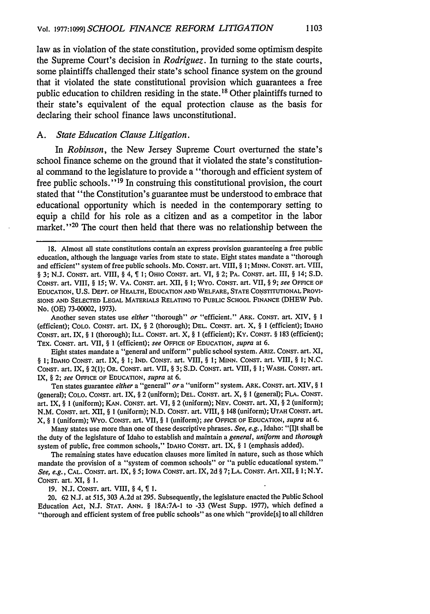law as in violation of the state constitution, provided some optimism despite the Supreme Court's decision in *Rodriguez.* In turning to the state courts, some plaintiffs challenged their state's school finance system on the ground that it violated the state constitutional provision which guarantees a free public education to children residing in the state. **18** Other plaintiffs turned to their state's equivalent of the equal protection clause as the basis for declaring their school finance laws unconstitutional.

#### *A. State Education Clause Litigation.*

In *Robinson,* the New Jersey Supreme Court overturned the state's school finance scheme on the ground that it violated the state's constitutional command to the legislature to provide a "thorough and efficient system of free public schools." **19** In construing this constitutional provision, the court stated that "the Constitution's guarantee must be understood to embrace that educational opportunity which is needed in the contemporary setting to equip a child for his role as a citizen and as a competitor in the labor market."<sup>20</sup> The court then held that there was no relationship between the

Another seven states use *either* "thorough" *or* "efficient." ARK. CONST. art. XIV, § **I** (efficient); COLO. CONST. art. IX, § 2 (thorough); **DEL.** CONST. art. X, § **I** (efficient); IDAHO CONST. art. IX, § 1 (thorough); ILL. CONST. art. X, § 1 (efficient); Ky. CONST. § **183** (efficient); TEX. CONST. art. VII, § **1** (efficient); *see* OFFICE OF EDUCATION, *supra* at 6.

Eight states mandate a "general and uniform" public school system. ARIZ. CONST. art. XI, § **1; IDAHO CONST.** art. IX, § 1; IND. CONST. art. VIII, § I; MINN. CONST. art. VIII, § *1;* N.C. CONST. art. IX, § 2(l); OR. CONST. art. VII, § 3; S.D. CONST. art. VIII, § **1;** WASH. CONST. art. IX, § 2; *see* OFFICE OF EDUCATION, *supra* at 6.

Ten states guarantee *either* a "general" *ora* "uniform" system. ARK. CONST. art. XIV, § 1 (general); COLO. CONST. art. IX, § 2 (uniform); DEL. CONST. art. X, § 1 (general); FLA. CONST. art. IX, § **1** (uniform); KAN. CONST. art. VI, § 2 (uniform); NEV. CONST. art. XI, § 2 (uniform); N.M. CONST. art. XII, § **I** (uniform); N.D. CONST. art. VIII, § 148 (uniform); UTAH CONST. art. X, § I (uniform); WVyo. CONST. art. VII, § **I** (uniform); *see* **OFFICE** OF EDUCATION, *supra* at 6.

Many states use more than one of these descriptive phrases. *See, e.g.,* Idaho: "[I]t shall be the duty of the legislature of Idaho to establish and maintain a *general, uniform* and *thorough* system of public, free common schools," IDAHO CONST. art. IX, § **1** (emphasis added).

The remaining states have education clauses more limited in nature, such as those which mandate the provision of a "system of common schools" or "a public educational system." *See, e.g.,* **CAL.** CONST. art. IX, § 5; IOWA CONST. art. IX, 2d § 7; **LA.** CONST. Art. XII, § *1;* N.Y. CONST. art. XI, § 1.

19. N.J. CONST. art. VIII, § 4, **1.**

20. 62 N.J. at 515, 303 A.2d at 295. Subsequently, the legislature enacted the Public School Education Act, N.J. STAT. ANN. § 18A:7A-1 to -33 (West Supp. 1977), which defined a "thorough and efficient system of free public schools" as one which "providels] to all children

<sup>18.</sup> Almost all state constitutions contain an express provision guaranteeing a free public education, although the language varies from state to state. Eight states mandate a "thorough and efficient" system of free public schools. MD. CONsT. art. VIII, § I; MINN. CONST. art. VIII, § 3; N.J. CoNsT. art. VIII, § 4, 1; OHIO CONST. art. VI, § 2; PA. CONST. art. III, § 14; S.D. CONST. art. VIII, § *15;* W. VA. CONST. art. XII, § 1; WYO. CONST. art. VII, § 9; see OFFICE OF **EDUCATION, U.S. DEPT.** OF HEALTH, **EDUCATION AND** WELFARE, **STATE COSISTITUTIONAL** PROVI-**SIONS AND** SELECTED **LEGAL** MATERIALS **RELATING** TO **PUBLIC SCHOOL FINANCE** (DHEW Pub. No. (OE) 73-00002, 1973).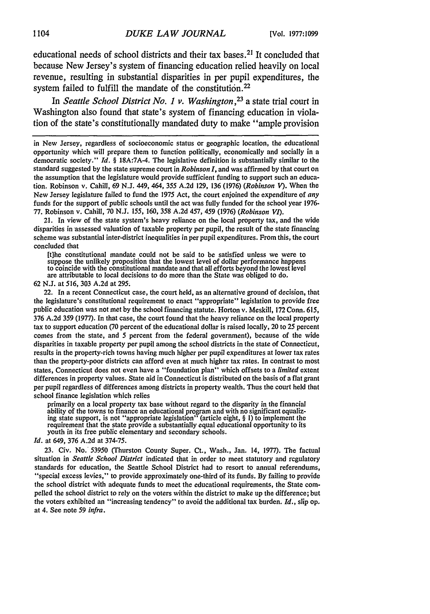educational needs of school districts and their tax bases.<sup>21</sup> It concluded that because New Jersey's system of financing education relied heavily on local revenue, resulting in substantial disparities in per pupil expenditures, the system failed to fulfill the mandate of the constitution.<sup>22</sup>

In *Seattle School District No. 1 v. Washington,23* a state trial court in Washington also found that state's system of financing education in violation of the state's constitutionally mandated duty to make "ample provision

21. In view of the state system's heavy reliance on the local property tax, and the wide disparities in assessed valuation of taxable property per pupil, the result of the state financing scheme was substantial inter-district inequalities in per pupil expenditures. From this, the court concluded that

[t]he constitutional mandate could not be said to be satisfied unless we were to suppose the unlikely proposition that the lowest level of dollar performance happens to coincide with the constitutional mandate and that all efforts beyond the lowest level are attributable to local decisions to do more than the State was obliged to do.

62 N.J. at 516, 303 A.2d at 295.

22. In a recent Connecticut case, the court held, as an alternative ground of decision, that the legislature's constitutional requirement to enact "appropriate" legislation to provide free public education was not met by the school financing statute. Horton v. Meskill, 172 Conn. 615, 376 A.2d 359 (1977). In that case, the court found that the heavy reliance on the local property tax to support education (70 percent of the educational dollar is raised locally, 20 to 25 percent comes from the state, and 5 percent from the federal government), because of the wide disparities in taxable property per pupil among the school districts in the state of Connecticut, results in the property-rich towns having much higher per pupil expenditures at lower tax rates than the property-poor districts can afford even at much higher tax rates. In contrast to most states, Connecticut does not even have a "foundation plan" which offsets to a *limited* extent differences in property values. State aid in Connecticut is distributed on the basis of a flat grant per pupil regardless of differences among districts in property wealth. Thus the court held that school finance legislation which relies

primarily on a local property tax base without regard to the disparity in the financial ability of the towns to finance an educational program and with no significant equalizing state support, is not "appropriate legislation" (article eight, § 1) to implement the requirement that the state provide a substantially equal educational opportunity to its youth in its free public elementary and secondary schools.

#### *Id.* at 649, 376 A.2d at 374-75.

23. Civ. No. 53950 (Thurston County Super. Ct., Wash., Jan. 14, 1977). The factual situation in *Seattle School District* indicated that in order to meet statutory and regulatory standards for education, the Seattle School District had to resort to annual referendums, "special excess levies," to provide approximately one-third of its funds. By failing to provide the school district with adequate funds to meet the educational requirements, the State compelled the school district to rely on the voters within the district to make up the difference; but the voters exhibited an "increasing tendency" to avoid the additional tax burden. *Id.,* slip op. at 4. See note 59 *infra.*

in New Jersey, regardless of socioeconomic status or geographic location, the educational opportunity which will prepare them to function politically, economically and socially in a democratic society." *Id.* § 18A:7A-4. The legislative definition is substantially similar to the standard suggested by the state supreme court in *Robinson I,* and was affirmed **by** that court on the assumption that the legislature would provide sufficient funding to support such an education. Robinson v. Cahill, 69 N.J. 449, 464, 355 A.2d 129, 136 (1976) *(Robinson V).* When the New Jersey legislature failed to fund the 1975 Act, the court enjoined the expenditure of *any* funds for the support of public schools until the act was fully funded for the school year 1976- 77. Robinson v. Cahill, 70 N.J. *155,* 160, 358 A.2d 457, 459 (1976) *(Robinson VI).*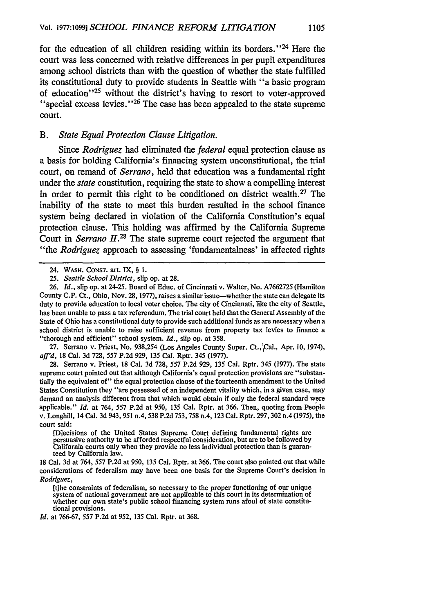for the education of all children residing within its borders."<sup>24</sup> Here the court was less concerned with relative differences in per pupil expenditures among school districts than with the question of whether the state fulfilled its constitutional duty to provide students in Seattle with "a basic program of education" 25 without the district's having to resort to voter-approved "special excess levies. **"26** The case has been appealed to the state supreme court.

#### *B. State Equal Protection Clause Litigation.*

Since *Rodriguez* had eliminated the *federal* equal protection clause as a basis for holding California's financing system unconstitutional, the trial court, on remand of *Serrano,* held that education was a fundamental right under the *state* constitution, requiring the state to show a compelling interest in order to permit this right to be conditioned on district wealth.27 The inability of the state to meet this burden resulted in the school finance system being declared in violation of the California Constitution's equal protection clause. This holding was affirmed **by** the California Supreme Court in *Serrano*  $II^{28}$  The state supreme court rejected the argument that "the *Rodriguez* approach to assessing 'fundamentalness' in affected rights

27. Serrano v. Priest, No. 938,254 (Los Angeles County Super. Ct., Cal., Apr. 10, 1974), *aff'd,* 18 Cal. 3d 728, 557 P.2d 929, 135 Cal. Rptr. 345 (1977).

28. Serrano v. Priest, 18 Cal. 3d 728, 557 P.2d 929, 135 Cal. Rptr. 345 (1977). The state supreme court pointed out that although California's equal protection provisions are "substantially the equivalent of" the equal protection clause of the fourteenth amendment to the United States Constitution they "are possessed of an independent vitality which, in a given case, may demand an analysis different from that which would obtain if only the federal standard were applicable." *Id.* at 764, 557 P.2d at 950, 135 Cal. Rptr. at 366. Then, quoting from People v. Longhill, 14 Cal. 3d 943, 951 n.4, 538 P.2d 753,758 n.4, 123 Cal. Rptr. 297, 302 n.4 (1975), the court said:

[D]ecisions of the United States Supreme Court defining fundamental rights are persuasive authority to be afforded respectful consideration, but are to be followed by California courts only when they provide no less individual protection than is guaranteed by California law.

18 Cal. 3d at 764, 557 P.2d at 950, 135 Cal. Rptr. at 366. The court also pointed out that while considerations of federalism may have been one basis for the Supreme Court's decision in *Rodiguez,*

*rd.* at 766-67, 557 P.2d at 952, 135 Cal. Rptr. at 368.

<sup>24.</sup> WASH. CONST. art. IX, § 1.

*<sup>25.</sup> Seattle School District,* slip op. at 28.

<sup>26.</sup> *Id.,* slip op. at 24-25. Board of Educ. of Cincinnati v. Walter, No. A7662725 (Hamilton County C.P. Ct., Ohio, Nov. 28, 1977), raises a similar issue-whether the state can delegate its duty to provide education to local voter choice. The city of Cincinnati, like the city of Seattle, has been unable to pass a tax referendum. The trial court held that the General Assembly of the State of Ohio has a constitutional duty to provide such additional funds as are necessary when a school district is unable to raise sufficient revenue from property tax levies to finance a "thorough and efficient" school system. *Id.*, slip op. at 358.

<sup>[</sup>t]he constraints of federalism, so necessary to the proper functioning of our unique system of national government are not applicable to this court in its determination of whether our own state's public school financing system runs afoul of state constitutional provisions.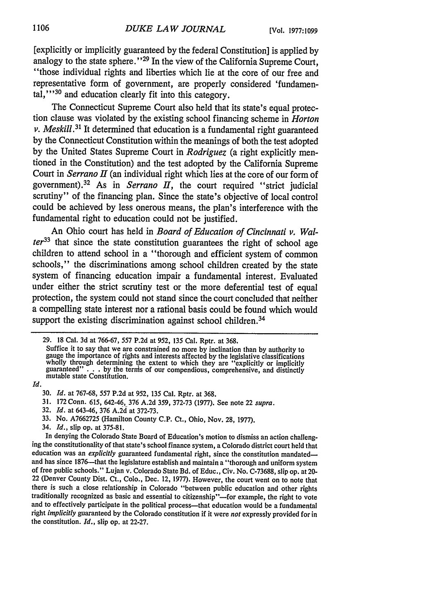[explicitly or implicitly guaranteed by the federal Constitution] is applied by analogy to the state sphere."<sup>29</sup> In the view of the California Supreme Court, "those individual rights and liberties which lie at the core of our free and representative form of government, are properly considered 'fundamental,"<sup>30</sup> and education clearly fit into this category.

The Connecticut Supreme Court also held that its state's equal protection clause was violated by the existing school financing scheme in *Horton v. Meskill.<sup>31</sup>* It determined that education is a fundamental right guaranteed **by** the Connecticut Constitution within the meanings of both the test adopted by the United States Supreme Court in *Rodriguez* (a right explicitly mentioned in the Constitution) and the test adopted by the California Supreme Court in *Serrano II* (an individual right which lies at the core of our form of government).<sup>32</sup> As in *Serrano II*, the court required "strict judicial scrutiny" of the financing plan. Since the state's objective of local control could be achieved by less onerous means, the plan's interference with the fundamental right to education could not be justified.

An Ohio court has held in *Board of Education of Cincinnati v. Walter33* that since the state constitution guarantees the right of school age children to attend school in a "thorough and efficient system of common schools," the discriminations among school children created by the state system of financing education impair a fundamental interest. Evaluated under either the strict scrutiny test or the more deferential test of equal protection, the system could not stand since the court concluded that neither a compelling state interest nor a rational basis could be found which would support the existing discrimination against school children.<sup>34</sup>

*Id.*

- 31. 172 Conn. 615, 642-46, 376 A.2d 359, 372-73 (1977). See note 22 *supra.*
- 32. *Id.* at 643.46, 376 A.2d at 372-73.
- 33. No. A7662725 (Hamilton County C.P. Ct., Ohio, Nov. 28, 1977).
- 34. *Id.,* slip op. at 375-81.

<sup>29. 18</sup> Cal. 3d at 766-67, 557 P.2d at 952, 135 Cal. Rptr. at 368.

Suffice it to say that we are constrained no more **by** inclination than **by** authority to Surfree it to say that we are constrained no more by inclination than by authority to gauge the importance of rights and interests affected by the legislative classifications wholly through determining the extent to which

<sup>30.</sup> *I'd.* at 767-68, 557 P.2d at 952, 135 Cal. Rptr. at 368.

In denying the Colorado State Board of Education's motion to dismiss an action challenging the constitutionality of that state's school finance system, a Colorado district court held that education was an *explicitly* guaranteed fundamental right, since the constitution mandatedand has since 1876—that the legislature establish and maintain a "thorough and uniform system of free public schools." Lujan v. Colorado State *Bd.* of Educ., Civ. No. C-73688, slip op. at *20-* 22 (Denver County Dist. Ct., Colo., Dec. 12, 1977). However, the court went on to note that there is such a close relationship in Colorado "between public education and other rights traditionally recognized as basic and essential to citizenship"--for example, the right to vote and to effectively participate in the political process-that education would be a fundamental right *implicitly* guaranteed by the Colorado constitution if it were *not* expressly provided for in the constitution. *Id.,* slip op. at 22-27.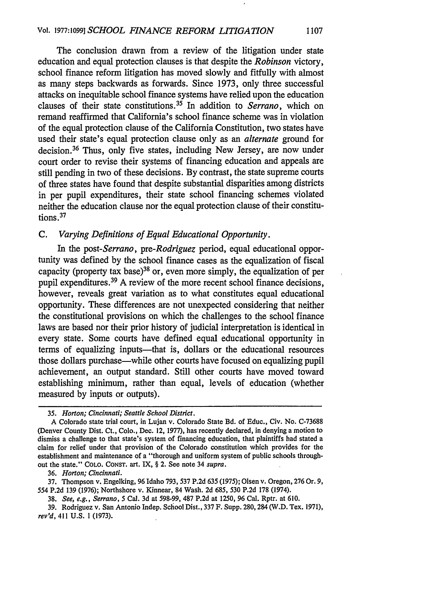The conclusion drawn from a review of the litigation under state education and equal protection clauses is that despite the *Robinson* victory, school finance reform litigation has moved slowly and fitfully with almost as many steps backwards as forwards. Since 1973, only three successful attacks on inequitable school finance systems have relied upon the education clauses of their state constitutions. 35 In addition to *Serrano,* which on remand reaffirmed that California's school finance scheme was in violation of the equal protection clause of the California Constitution, two states have used their state's equal protection clause only as an *alternate* ground for decision. 36 Thus, only five states, including New Jersey, are now under court order to revise their systems of financing education and appeals are still pending in two of these decisions. By contrast, the state supreme courts of three states have found that despite substantial disparities among districts in per pupil expenditures, their state school financing schemes violated neither the education clause nor the equal protection clause of their constitutions. <sup>37</sup>

## *C. Varying Definitions of Equal Educational Opportunity.*

In the *post-Serrano, pre-Rodriguez* period, equal educational opportunity was defined by the school finance cases as the equalization of fiscal capacity (property tax base)<sup>38</sup> or, even more simply, the equalization of per pupil expenditures.<sup>39</sup> A review of the more recent school finance decisions, however, reveals great variation as to what constitutes equal educational opportunity. These differences are not unexpected considering that neither the constitutional provisions on which the challenges to the school finance laws are based nor their prior history of judicial interpretation is identical in every state. Some courts have defined equal educational opportunity in terms of equalizing inputs—that is, dollars or the educational resources those dollars purchase—while other courts have focused on equalizing pupil achievement, an output standard. Still other courts have moved toward establishing minimum, rather than equal, levels of education (whether measured by inputs or outputs).

36. *Horton; Cincinnati.*

37. Thompson v. Engelking, 96 Idaho 793, 537 P.2d 635 (1975); Olsen v. Oregon, 276 Or. 9, 554 P.2d 139 (1976); Northshore v. Kinnear, 84 Wash. 2d 685, 530 P.2d 178 (1974).

38. *See, e.g., Serrano,* 5 Cal. 3d at 598-99, 487 P.2d at 1250, 96 Cal. Rptr. at 610.

39. Rodriguez v. San Antonio Indep. School Dist., 337 F. Supp. 280,284 (W.D. Tex. 1971), rev'd, 411 U.S. 1 (1973).

<sup>35.</sup> *Horton; Cincinnati; Seattle School District.*

A Colorado state trial court, in Lujan v. Colorado State Bd. of Educ., Civ. No. C-73688 (Denver County Dist. Ct., Colo., Dec. 12, 1977), has recently declared, in denying a motion to dismiss a challenge to that state's system of financing education, that plaintiffs had stated a claim for relief under that provision of the Colorado constitution which provides for the establishment and maintenance of a "thorough and uniform system of public schools throughout the state." COLO. CONST. art. IX, § 2. See note 34 *supra.*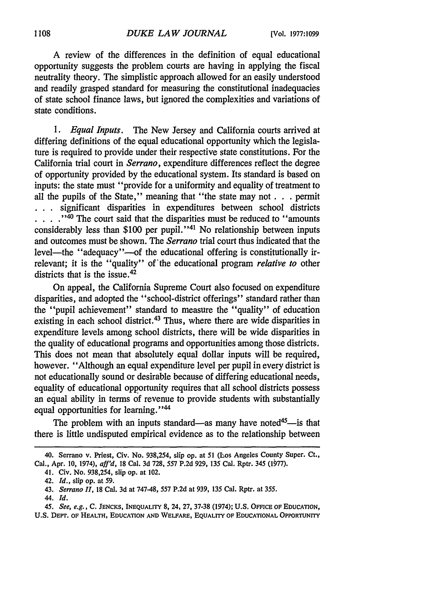A review of the differences in the definition of equal educational opportunity suggests the problem courts are having in applying the fiscal neutrality theory. The simplistic approach allowed for an easily understood and readily grasped standard for measuring the constitutional inadequacies of state school finance laws, but ignored the complexities and variations of state conditions.

*1. Equal Inputs.* The New Jersey and California courts arrived at differing definitions of the equal educational opportunity which the legislature is required to provide under their respective state constitutions. For the California trial court in *Serrano,* expenditure differences reflect the degree of opportunity provided by the educational system. Its standard is based on inputs: the state must "provide for a uniformity and equality of treatment to all the pupils of the State," meaning that "the state may not **. . .** permit **. .** . significant disparities in expenditures between school districts ....<sup>140</sup> The court said that the disparities must be reduced to "amounts" considerably less than \$100 per pupil."<sup>41</sup> No relationship between inputs and outcomes must be shown. The *Serrano* trial court thus indicated that the level—the "adequacy"—of the educational offering is constitutionally irrelevant; it is the "quality" of'the educational program *relative to* other districts that is the issue.<sup>42</sup>

On appeal, the California Supreme Court also focused on expenditure disparities, and adopted the "school-district offerings" standard rather than the "pupil achievement" standard to measure the "quality" of education existing in each school district.<sup>43</sup> Thus, where there are wide disparities in expenditure levels among school districts, there will be wide disparities in the quality of educational programs and opportunities among those districts. This does not mean that absolutely equal dollar inputs will be required, however. "Although an equal expenditure level per pupil in every district is not educationally sound or desirable because of differing educational needs, equality of educational opportunity requires that all school districts possess an equal ability in terms of revenue to provide students with substantially equal opportunities for learning."<sup>44</sup>

The problem with an inputs standard—as many have noted<sup>45</sup>—is that there is little undisputed empirical evidence as to the relationship between

*44. Id.*

<sup>40.</sup> Serrano v. Priest, Civ. No. 938,254, slip op. at 51 (Los Angeles County Super. Ct., Cal., Apr. **10,** 1974), *aff'd,* 18 Cal. 3d 728, 557 P.2d 929, 135 Cal. Rptr. 345 (1977).

<sup>41.</sup> Civ. No. 938,254, slip op. at 102.

<sup>42.</sup> *Id.,* slip op. at 59.

<sup>43.</sup> *Serrano 11,* 18 Cal. 3d at 747-48, 557 P.2d at 939, 135 Cal. Rptr. at 355.

*<sup>45.</sup> See, e.g.,* **C. JENCKS, INEQUALITY** 8, 24, 27, **37-38** (1974); **U.S. OFICE** OF **EDUCATION,**

U.S. **DEPT. OF HEALTH, EDUCATION AND** WELFARE, **EQUALITY OF EDUCATIONAL** OPPORTUNITY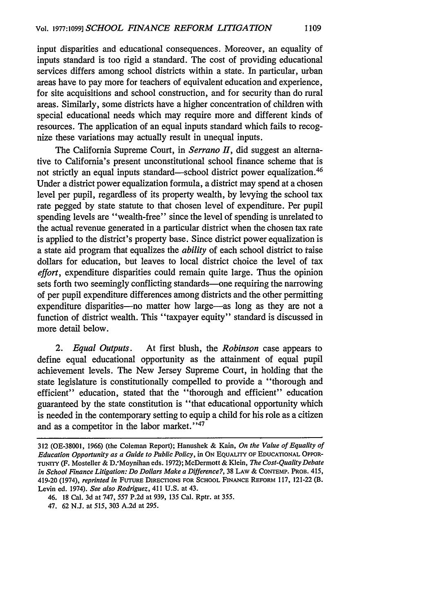input disparities and educational consequences. Moreover, an equality of inputs standard is too rigid a standard. The cost of providing educational services differs among school districts within a state. In particular, urban areas have to pay more for teachers of equivalent education and experience, for site acquisitions and school construction, and for security than do rural areas. Similarly, some districts have a higher concentration of children with special educational needs which may require more and different kinds of resources. The application of an equal inputs standard which fails to recognize these variations may actually result in unequal inputs.

The California Supreme Court, in *Serrano II*, did suggest an alternative to California's present unconstitutional school finance scheme that is not strictly an equal inputs standard—school district power equalization.<sup>46</sup> Under a district power equalization formula, a district may spend at a chosen level per pupil, regardless of its property wealth, by levying the school tax rate pegged by state statute to that chosen level of expenditure. Per pupil spending levels are "wealth-free" since the level of spending is unrelated to the actual revenue generated in a particular district when the chosen tax rate is applied to the district's property base. Since district power equalization is a state aid program that equalizes the *ability* of each school district to taise dollars for education, but leaves to local district choice the level of tax effort, expenditure disparities could remain quite large. Thus the opinion sets forth two seemingly conflicting standards—one requiring the narrowing of per pupil expenditure differences among districts and the other permitting expenditure disparities-no matter how large-as long as they are not a function of district wealth. This "taxpayer equity" standard is discussed in more detail below.

*2. Equal Outputs.* At first blush, the *Robinson* case appears to define equal educational opportunity as the attainment of equal pupil achievement levels. The New Jersey Supreme Court, in holding that the state legislature is constitutionally compelled to provide a "thorough and efficient" education, stated that the "thorough and efficient" education guaranteed by the state constitution is "that educational opportunity which is needed in the contemporary setting to equip a child for his role as a citizen and as a competitor in the labor market."47

<sup>312 (</sup>OE-38001, 1966) (the Coleman Report); Hanushek & Kain, *On the Value of Equality of Education Opportunity as a Guide to Public Policy,* in **ON** EQUALITY OF **EDUCATIONAL** OPPOR-**TUNITY** (F. Mosteller & D.,Moynihan eds. 1972); McDermott & Klein, *The Cost-Quality Debate in School Finance Litigation: Do Dollars Make a Difference?,* 38 LAW & CONTEMP. PROB. 415, 419-20 (1974), *reprinted in* **FUTURE** DIRECTIONS FOR **SCHOOL FINANCE** REFORM 117, 121-22 (B. Levin ed. 1974). *See also Rodriguez,* 411 U.S. at 43.

<sup>46. 18</sup> Cal. 3d at 747, 557 P.2d at 939, 135 Cal. Rptr. at 355.

<sup>47. 62</sup> N.J. at 515, 303 A.2d at 295.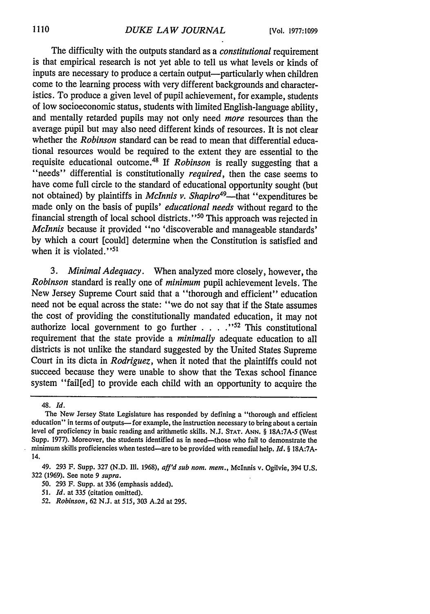The difficulty with the outputs standard as a *constitutional* requirement is that empirical research is not yet able to tell us what levels or kinds of inputs are necessary to produce a certain output—particularly when children come to the learning process with very different backgrounds and characteristics. To produce a given level of pupil achievement, for example, students of low socioeconomic status, students with limited English-language ability, and mentally retarded pupils may not only need *more* resources than the average pupil but may also need different kinds of resources. It is not clear whether the *Robinson* standard can be read to mean that differential educational resources would be required to the extent they are essential to the requisite educational outcome.48 If *Robinson* is really suggesting that a "needs" differential is constitutionally *required,* then the case seems to have come full circle to the standard of educational opportunity sought (but not obtained) by plaintiffs in *McInnis v. Shapiro<sup>49</sup>*—that "expenditures be made only on the basis of pupils' *educational needs* without regard to the financial strength of local school districts."<sup>50</sup> This approach was rejected in *McInnis* because it provided "no 'discoverable and manageable standards' by which a court [could] determine when the Constitution is satisfied and when it is violated." $51$ 

*3. Minimal Adequacy.* When analyzed more closely, however, the *Robinson* standard is really one of *minimum* pupil achievement levels. The New Jersey Supreme Court said that a "thorough and efficient" education need not be equal across the state: "we do not say that if the State assumes the cost of providing the constitutionally mandated education, it may not authorize local government to go further **... "52** This constitutional requirement that the state provide a *minimally* adequate education to all districts is not unlike the standard suggested by the United States Supreme Court in its dicta in *Rodriguez,* when it noted that the plaintiffs could not succeed because they were unable to show that the Texas school finance system "fail[ed] to provide each child with an opportunity to acquire the

<sup>48.</sup> *Id.*

The New Jersey State Legislature has responded by defining a "thorough and efficient education" in terms of outputs— for example, the instruction necessary to bring about a certain level of proficiency in basic reading and arithmetic skills. N.J. **STAT. ANN.** § 18A:7A-5 (West Supp. 1977). Moreover, the students identified as in need—those who fail to demonstrate the minimum skills proficiencies when tested-are to be provided with remedial help. *Id. §* 18A:7A-14.

<sup>49. 293</sup> F. Supp. 327 (N.D. II. 1968), *aff'd sub nom. mem.,* McInnis v. Ogilvie, 394 U.S. 322 (1969). See note 9 *supra.*

**<sup>50.</sup>** 293 F. Supp. at 336 (emphasis added).

*<sup>51.</sup> Id.* at **335** (citation omitted).

*<sup>52.</sup> Robinson,* 62 N.J. at *515,* 303 A.2d at 295.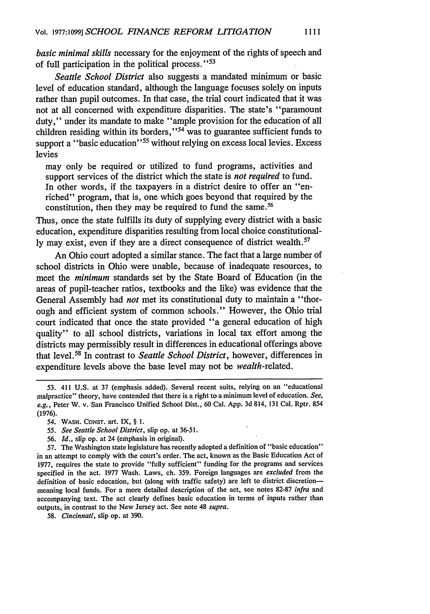*basic minimal skills* necessary for the enjoyment of the rights of speech and of full participation in the political process."<sup>53</sup>

*Seattle School District* also suggests a mandated minimum or basic level of education standard, although the language focuses solely on inputs rather than pupil outcomes. In that case, the trial court indicated that it was not at all concerned with expenditure disparities. The state's "paramount duty," under its mandate to make "ample provision for the education of all children residing within its borders," 54 was to guarantee sufficient funds to support a "basic education"<sup>55</sup> without relying on excess local levies. Excess levies

may only be required or utilized to fund programs, activities and support services of the district which the state is *not required* to fund. In other words, if the taxpayers in a district desire to offer an "enriched" program, that is, one which goes beyond that required by the constitution, then they may be required to fund the same.<sup>56</sup>

Thus, once the state fulfills its duty of supplying every district with a basic education, expenditure disparities resulting from local choice constitutionally may exist, even if they are a direct consequence of district wealth.<sup>57</sup>

An Ohio court adopted a similar stance. The fact that a large number of school districts in Ohio were unable, because of inadequate resources, to meet the *minimum* standards set by the State Board of Education (in the areas of pupil-teacher ratios, textbooks and the like) was evidence that the General Assembly had *not* met its constitutional duty to maintain a "thorough and efficient system of common schools." However, the Ohio trial court indicated that once the state provided "a general education of high quality" to all school districts, variations in local tax effort among the districts may permissibly result in differences in educational offerings above that level. 58 In contrast to *Seattle School District,* however, differences in expenditure levels above the base level may not be *wealth-related.*

- 53. 411 U.S. at 37 (emphasis added). Several recent suits, relying on an "educational malpractice" theory, have contended that there is a right to a minimum level of education. *See, e.g.,* Peter W. v. San Francisco Unified School Dist., 60 Cal. App. 3d 814, 131 Cal. Rptr. 854 (1976).
	- 54. **WASH.** CONST. art. IX, § **1.**
	- *55. See Seattle School District,* slip op. at 36-51.
	- *56. Id.,* slip op. at 24 (emphasis in original).

57. The Washington state legislature has recently adopted a definition of "basic education" in an attempt to comply with the court's order. The act, known as the Basic Education Act of 1977, requires the state to provide "fully sufficient" funding for the programs and services specified in the act. 1977 Wash. Laws, ch. 359. Foreign languages are *excluded* from the definition of basic education, but (along with traffic safety) are left to district discretionmeaning local funds. For a more detailed description of the act, see notes 82-87 *infra* and accompanying text. The act clearly defines basic education in terms of inputs rather than outputs, in contrast to the New Jersey act. See note 48 *supra.*

*58. Cincinnati,* slip op. at 390.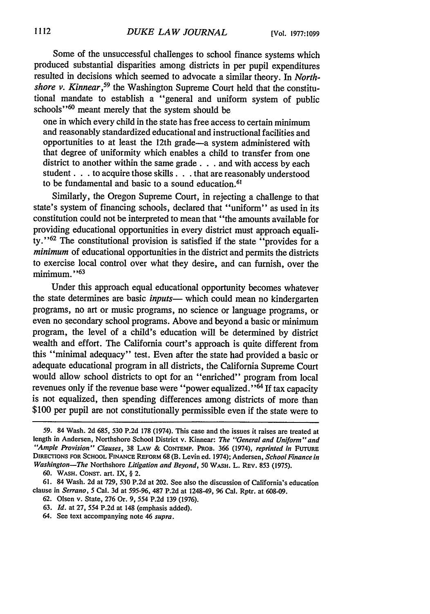Some of the unsuccessful challenges to school finance systems which produced substantial disparities among districts in per pupil expenditures resulted in decisions which seemed to advocate a similar theory. In *Northshore v. Kinnear,59* the Washington Supreme Court held that the constitutional mandate to establish a "general and uniform system of public schools'<sup>60</sup> meant merely that the system should be

one in which every child in the state has free access to certain minimum and reasonably standardized educational and instructional facilities and opportunities to at least the 12th grade-a system administered with that degree of uniformity which enables a child to transfer from one district to another within the same grade . . . and with access by each student. **. .** to acquire those skills. **. .** that are reasonably understood to be fundamental and basic to a sound education.<sup>61</sup>

Similarly, the Oregon Supreme Court, in rejecting a challenge to that state's system of financing schools, declared that "uniform" as used in its constitution could not be interpreted to mean that "the amounts available for providing educational opportunities in every district must approach equality." 62 The constitutional provision is satisfied if the state "provides for a *minimum* of educational opportunities in the district and permits the districts to exercise local control over what they desire, and can furnish, over the minimum."<sup>63</sup>

Under this approach equal educational opportunity becomes whatever the state determines are basic *inputs*— which could mean no kindergarten programs, no art or music programs, no science or language programs, or even no secondary school programs. Above and beyond a basic or minimum program, the level of a child's education will be determined by district wealth and effort. The California court's approach is quite different from this "minimal adequacy" test. Even after the state had provided a basic or adequate educational program in all districts, the California Supreme Court would allow school districts to opt for an "enriched" program from local revenues only if the revenue base were "power equalized."<sup>64</sup> If tax capacity is not equalized, then spending differences among districts of more than \$100 per pupil are not constitutionally permissible even if the state were to

<sup>59. 84</sup> Wash. 2d 685, 530 P.2d 178 (1974). This case and the issues it raises are treated at length in Andersen, Northshore School District v. Kinnear: *The* "General and Uniform" and *"Ample Provision" Clauses,* **38** LAW & **CONTEMP. PROB.** 366 (1974), *reprinted in* FUTURE DIRECTIONS FOR **SCHOOL** FINANCE REFORM 68 (B. Levin ed. 1974); Andersen, *School Finance in Washington-The* Northshore *Litigation and Beyond,* **50** WASH. L. REV. **853 (1975).**

**<sup>60.</sup>** WASH. CONST. art. IX, § 2.

<sup>61. 84</sup> Wash. 2d at 729, 530 P.2d at 202. See also the discussion of California's education clause in *Serrano, 5* Cal. 3d at **595-96,** 487 P.2d at 1248-49, 96 Cal. Rptr. at 608-09.

<sup>62.</sup> Olsen v. State, 276 Or. 9, 554 P.2d 139 (1976).

<sup>63.</sup> *Id.* at 27, 554 P.2d at 148 (emphasis added).

<sup>64.</sup> See text accompanying note 46 *supra.*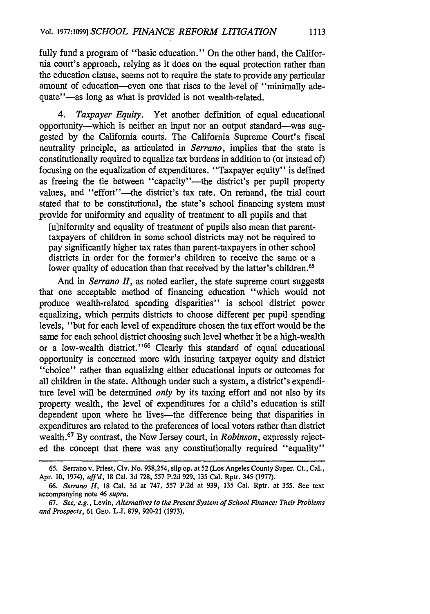fully fund a program of "basic education." On the other hand, the California court's approach, relying as it does on the equal protection rather than the education clause, seems not to require the state to provide any particular amount of education--even one that rises to the level of "minimally adequate"—as long as what is provided is not wealth-related.

**1113**

*4. Taxpayer Equity.* Yet another definition of equal educational opportunity--which is neither an input nor an output standard--was suggested by the California courts. The California Supreme Court's fiscal neutrality principle, as articulated in *Serrano,* implies that the state is constitutionally required to equalize tax burdens in addition to (or instead of) focusing on the equalization of expenditures. "Taxpayer equity" is defined as freeing the tie between "capacity"-the district's per pupil property values, and "effort"-the district's tax rate. On remand, the trial court stated that to be constitutional, the state's school financing system must provide for uniformity and equality of treatment to all pupils and that

[u]niformity and equality of treatment of pupils also mean that parenttaxpayers of children in some school districts may not be required to pay significantly higher tax rates than parent-taxpayers in other school districts in order for the former's children to receive the same or a lower quality of education than that received by the latter's children.<sup>65</sup>

And in *Serrano II*, as noted earlier, the state supreme court suggests that one acceptable method of financing education "which would not produce wealth-related spending disparities" is school district power equalizing, which permits districts to choose different per pupil spending levels, "but for each level of expenditure chosen the tax effort would be the same for each school district choosing such level whether it be a high-wealth or a low-wealth district."<sup>66</sup> Clearly this standard of equal educational opportunity is concerned more with insuring taxpayer equity and district "choice" rather than equalizing either educational inputs or outcomes for all children in the state. Although under such a system, a district's expenditure level will be determined *only* by its taxing effort and not also by its property wealth, the level of expenditures for a child's education is still dependent upon where he lives—the difference being that disparities in expenditures are related to the preferences of local voters rather than district wealth.67 By contrast, the New Jersey court, in *Robinson,* expressly rejected the concept that there was any constitutionally required "equality"

**<sup>65.</sup>** Serrano v. Priest, Civ. No. 938,254, slip op. at52 (Los Angeles County Super. Ct., Cal., Apr. 10, 1974), *aff'd,* 18 Cal. 3d 728, 557 P.2d 929, 135 Cal. Rptr. 345 (1977).

*<sup>66.</sup> Serrano 11,* 18 Cal. 3d at 747, 557 P.2d at 939, 135 Cal. Rptr. at 355. See text accompanying note 46 *supra.*

<sup>67.</sup> *See, e.g., Levin, Alternatives to the Present System of School Finance: Their Problems and Prospects,* 61 GEO. L.J. 879, 920-21 (1973).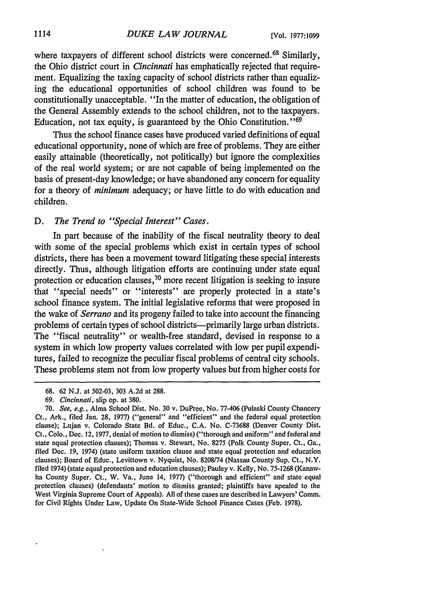where taxpayers of different school districts were concerned.<sup>68</sup> Similarly, the Ohio district court in *Cincinnati* has emphatically rejected that requirement. Equalizing the taxing capacity of school districts rather than equalizing the educational opportunities of school children was found to be constitutionally unacceptable. "In the matter of education, the obligation of the General Assembly extends to the school children, not to the taxpayers. Education, not tax equity, is guaranteed by the Ohio Constitution.<sup>169</sup>

Thus the school finance cases have produced varied definitions of equal educational opportunity, none of which are free of problems. They are either easily attainable (theoretically, not politically) but ignore the complexities of the real world system; or are not capable of being implemented on the basis of present-day knowledge; or have abandoned any concern for equality for a theory of *minimum* adequacy; or have little to do with education and children.

## *D. The Trend to "Special Interest" Cases.*

In part because of the inability of the fiscal neutrality theory to deal with some of the special problems which exist in certain types of school districts, there has been a movement toward litigating these special interests directly. Thus, although litigation efforts are continuing under state equal protection or education clauses,<sup>70</sup> more recent litigation is seeking to insure that "special needs" or "interests" are properly protected in a state's school finance system. The initial legislative reforms that were proposed in the wake of *Serrano* and its progeny failed to take into account the financing problems of certain types of school districts-primarily large urban districts. The "fiscal neutrality" or wealth-free standard, devised in response to a system in which low property values correlated with low per pupil expenditures, failed to recognize the peculiar fiscal problems of central city schools. These problems stem not from low property values but from higher costs for

<sup>68. 62</sup> N.J. at 502-03, 303 A.2d at 288.

*<sup>69.</sup> Cincinnati,* slip op. at 380.

<sup>70.</sup> *See, e.g.,* Alma School Dist. No. 30 v. DuPree, No. 77-406 (Pulaski County Chancery Ct., Ark., filed Jan. 28, 1977) ("general" and "efficient" and the federal equal protection clause); Lujan v. Colorado State Bd. of Educ., C.A. No. C-73688 (Denver County Dist. Ct., Colo., Dec. 12, 1977, denial of motion to dismiss) ("thorough and uniform" and federal and state equal protection clauses); Thomas v. Stewart, No. 8275 (Polk County Super. Ct., Ga., filed Dec. 19, 1974) (state uniform taxation clause and state equal protection and education clauses); Board of Educ., Levittown v. Nyquist, No. 8208/74 (Nassau County Sup. Ct., N.Y. filed 1974) (state equal protection and education clauses); Pauley v. Kelly, No. 75-1268 (Kanawha County Super. Ct., W. Va., June 14, 1977) ("thorough and efficient" and state equal protection clauses) (defendants' motion to dismiss granted; plaintiffs have apealed to the West Virginia Supreme Court of Appeals). All of these cases are described in Lawyers' Comm. for Civil Rights Under Law, Update On State-Wide School Finance Cases (Feb. 1978).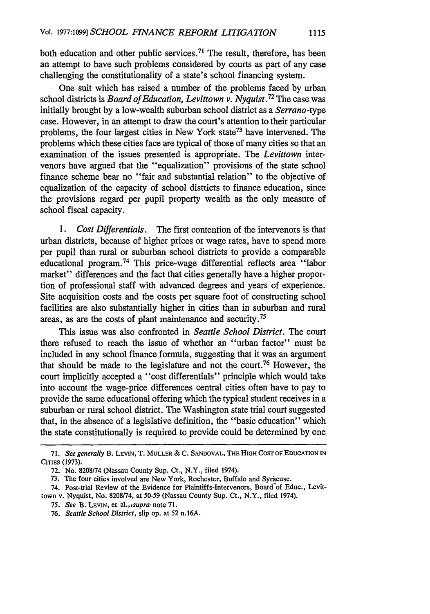both education and other public services.<sup>71</sup> The result, therefore, has been an attempt to have such problems considered by courts as part of any case challenging the constitutionality of a state's school financing system.

One suit which has raised a number of the problems faced by urban school districts is *Board of Education, Levittown v. Nyquist.72* The case was initially brought by a low-wealth suburban school district as a *Serrano-type* case. However, in an attempt to draw the court's attention to their particular problems, the four largest cities in New York state<sup>73</sup> have intervened. The problems which these cities face are typical of those of many cities so that an examination of the issues presented is appropriate. The *Levittown* intervenors have argued that the "equalization" provisions of the state school finance scheme bear no "fair and substantial relation" to the objective of equalization of the capacity of school districts to finance education, since the provisions regard per pupil property wealth as the only measure of school fiscal capacity.

*1. Cost Differentials.* The first contention of the intervenors is that urban districts, because of higher prices or wage rates, have to spend more per pupil than rural or suburban school districts to provide a comparable educational program.<sup>74</sup> This price-wage differential reflects area "labor" market" differences and the fact that cities generally have a higher proportion of professional staff with advanced degrees and years of experience. Site acquisition costs and the costs per square foot of constructing school facilities are also substantially higher in cities than in suburban and rural areas, as are the costs of plant maintenance and security. <sup>75</sup>

This issue was also confronted in *Seattle School District.* The court there refused to reach the issue of whether an "urban factor" must be included in any school finance formula, suggesting that it was an argument that should be made to the legislature and not the court.76 However, the court implicitly accepted a "cost differentials" principle which would take into account the wage-price differences central cities often have to pay to provide the same educational offering which the typical student receives in a suburban or rural school district. The Washington state trial court suggested that, in the absence of a legislative definition, the "basic education" which the state constitutionally is required to provide could be determined by one

<sup>71.</sup> *See generally* B. **LEVIN,** T. **MULLER** & **C. SANDOVAL,** THE **HIGH COST** OF **EDUCATION IN CITIES (1973).**

<sup>72.</sup> No. 8208/74 (Nassau County Sup. Ct., N.Y., filed 1974).

<sup>73.</sup> The four cities involved are New York, Rochester, Buffalo and Syracuse.

<sup>74.</sup> Post-trial Review of the Evidence for Plaintiffs-Intervenors, Board of Educ., Levittown v. Nyquist, No. 8208/74, at **50-59** (Nassau County Sup. Ct., N.Y., filed 1974).

*<sup>75.</sup> See* B. **LEVIN,** et *al.,isuprai* note 71.

<sup>76.</sup> *Seattle School District,* slip op. at 52 n. 16A.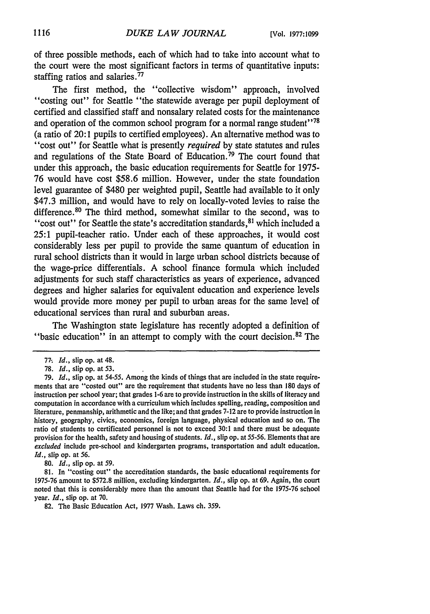of three possible methods, each of which had to take into account what to the court were the most significant factors in terms of quantitative inputs: staffing ratios and salaries. <sup>77</sup>

The first method, the "collective wisdom" approach, involved "costing out" for Seattle "the statewide average per pupil deployment of certified and classified staff and nonsalary related costs for the maintenance and operation of the common school program for a normal range student $178$ (a ratio of 20:1 pupils to certified employees). An alternative method was to "cost out" for Seattle what is presently *required* by state statutes and rules and regulations of the State Board of Education. 79 The court found that under this approach, the basic education requirements for Seattle for **1975- 76** would have cost **\$58.6** million. However, under the state foundation level guarantee of \$480 per weighted pupil, Seattle had available to it only \$47.3 million, and would have to rely on locally-voted levies to raise the difference.<sup>80</sup> The third method, somewhat similar to the second, was to "cost out" for Seattle the state's accreditation standards,  $81$  which included a **25:1** pupil-teacher ratio. Under each of these approaches, it would cost considerably less per pupil to provide the same quantum of education in rural school districts than it would in large urban school districts because of the wage-price differentials. **A** school finance formula which included adjustments for such staff characteristics as years of experience, advanced degrees and higher salaries for equivalent education and experience levels would provide more money per pupil to urban areas for the same level of educational services than rural and suburban areas.

The Washington state legislature has recently adopted a definition of "basic education" in an attempt to comply with the court decision.82 The

**80.** *Id.,* slip op. at **59.**

**81.** In "costing out" the accreditation standards, the basic educational requirements for **1975-76** amount to **\$572.8** million, excluding kindergarten. *Id.,* slip op. at **69.** Again, the court noted that this is considerably more than the amount that Seattle had for the **1975-76** school year. *Id.,* slip op. at **70.**

**82.** The Basic Education Act, **1977** Wash. Laws ch. **359.**

**<sup>77-</sup>** *Id.,* slip op. at 48.

**<sup>78.</sup>** *Id.,* slip op. at **53.**

**<sup>79.</sup>** *Id.,* slip op. at **54-55.** Among the kinds of things that are included in the state requirements that are "costed out" are the requirement that students have no less than **180** days of instruction per school year; that grades **1-6** are to provide instruction in the skills of literacy and computation in accordance with a curriculum which includes spelling, reading, composition and literature, penmanship, arithmetic and the like; and that grades **7-12** are to provide instruction in history, geography, civics, economics, foreign language, physical education and so on. The ratio of students to certificated personnel is not to exceed **30:1** and there must be adequate provision for the health, safety and housing of students. *Id.,* slip op. at **55-56.** Elements that are *excluded* include pre-school and kindergarten programs, transportation and adult education. *Id.,* slip op. at **56.**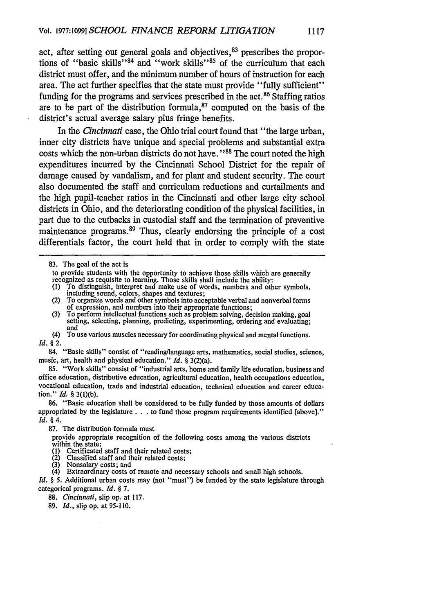act, after setting out general goals and objectives, <sup>83</sup> prescribes the proportions of "basic skills"<sup>84</sup> and "work skills"<sup>85</sup> of the curriculum that each district must offer, and the minimum number of hours of instruction for each area. The act further specifies that the state must provide "fully sufficient" funding for the programs and services prescribed in the act. 86 Staffing ratios are to be part of the distribution formula, $87$  computed on the basis of the district's actual average salary plus fringe benefits.

In the *Cincinnati* case, the Ohio trial court found that "the large urban, inner city districts have unique and special problems and substantial extra costs which the non-urban districts do not have."<sup>88</sup> The court noted the high expenditures incurred by the Cincinnati School District for the repair of damage caused by vandalism, and for plant and student security. The court also documented the staff and curriculum reductions and curtailments and the high pupil-teacher ratios in the Cincinnati and other large city school districts in Ohio, and the deteriorating condition of the physical facilities, in part due to the cutbacks in custodial staff and the termination of preventive maintenance programs.<sup>89</sup> Thus, clearly endorsing the principle of a cost differentials factor, the court held that in order to comply with the state

(1) To distinguish, interpret and make use of words, numbers and other symbols, including sound, colors, shapes and textures;

- (3) To perform intellectual functions such as problem solving, decision making, goal setting, selecting, planning, predicting, experimenting, ordering and evaluating; and
- (4) To use various muscles necessary for coordinating physical and mental functions. *Id.* § 2.
- 84. "Basic skills" consist of "reading/language arts, mathematics, social studies, science, music, art, health and physical education." *Id. §* 3(2)(a).

85. "Work skills" consist of "industrial arts, home and family life education, business and office education, distributive education, agricultural education, health occupations education, vocational education, trade and industrial education, technical education and career education." *Id. §* 3(l)(b).

**87.** The distribution formula must

provide appropriate recognition of the following costs among the various districts within the state:

- (1) Certificated staff and their related costs;
- $(2)$  Classified staff and their related costs;<br>(3) Nonsalary costs; and Nonsalary costs; and
- 

Extraordinary costs of remote and necessary schools and small high schools. *Id.* § 5. Additional urban costs may (not "must") be funded by the state legislature through

categorical programs. *Id. §* 7.

- 88. *Cincinnati,* slip op. at 117.
- 89. *Id.,* slip op. at 95-110.

<sup>83.</sup> The goal of the act is

to provide students with the opportunity to achieve those skills which are generally recognized as requisite to learning. Those skills shall include the ability:

<sup>(2)</sup> To organize words and other symbols into acceptable verbal and nonverbal forms of expression, and numbers into their appropriate functions;

**<sup>86.</sup>** "Basic education shall be considered to be fully funded by those amounts of dollars appropriated by the legislature **. . .** to fund those program requirements identified [above]." *Id. §* 4.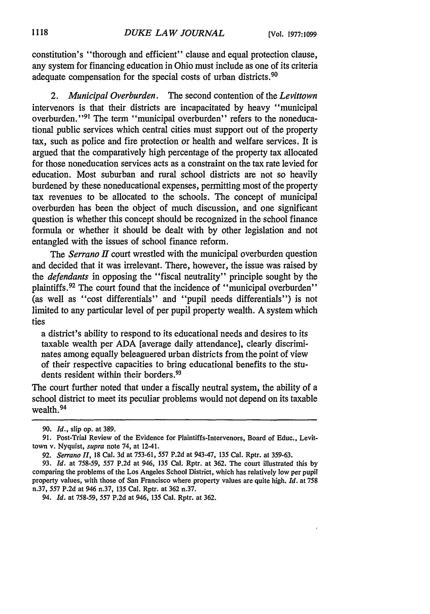constitution's "thorough and efficient" clause and equal protection clause, any system for financing education in Ohio must include as one of its criteria adequate compensation for the special costs of urban districts.<sup>90</sup>

*2. Municipal Overburden.* The second contention of the *Levittown* intervenors is that their districts are incapacitated by heavy "municipal overburden."<sup>91</sup> The term "municipal overburden" refers to the noneducational public services which central cities must support out of the property tax, such as police and fire protection or health and welfare services. It is argued that the comparatively high percentage of the property tax allocated for those noneducation services acts as a constraint on the tax rate levied for education. Most suburban and rural school districts are not so heavily burdened by these noneducational expenses, permitting most of the property tax revenues to be allocated to the schools. The concept of municipal overburden has been the object of much discussion, and one significant question is whether this concept should be recognized in the school finance formula or whether it should be dealt with by other legislation and not entangled with the issues of school finance reform.

*The* Serrano *H* court wrestled with the municipal overburden question and decided that it was irrelevant. There, however, the issue was raised by the *defendants* in opposing the "fiscal neutrality" principle sought by the plaintiffs.<sup>92</sup> The court found that the incidence of "municipal overburden" (as well as "cost differentials" and "pupil needs differentials") is not limited to any particular level of per pupil property wealth. A system which ties

a district's ability to respond to its educational needs and desires to its taxable wealth per ADA [average daily attendance], clearly discriminates among equally beleaguered urban districts from the point of view of their respective capacities to bring educational benefits to the students resident within their borders.<sup>93</sup>

The court further noted that under a fiscally neutral system, the ability of a school district to meet its peculiar problems would not depend on its taxable wealth. <sup>94</sup>

94. *Id.* at 758-59, **557** P.2d at 946, 135 Cal. Rptr. at 362.

*<sup>90.</sup> Id.,* slip op. at 389.

<sup>91.</sup> Post-Trial Review of the Evidence for Plaintiffs-Intervenors, Board of Educ., Levittown v. Nyquist, *supra* note 74, at 12-41.

<sup>92.</sup> *Serrano II,* **18** Cal. 3d at 753-61, **557** P.2d at 943-47, 135 Cal. Rptr. at 359-63.

<sup>93.</sup> *Id.* at 758-59, **557** P.2d at 946, 135 Cal. Rptr. at 362. The court illustrated this **by** comparing the problems of the Los Angeles School District, which has relatively low per pupil property values, with those of San Francisco where property values are quite high. *Id.* at 758 n.37, 557 P.2d at 946 n.37, 135 Cal. Rptr. at 362 n.37.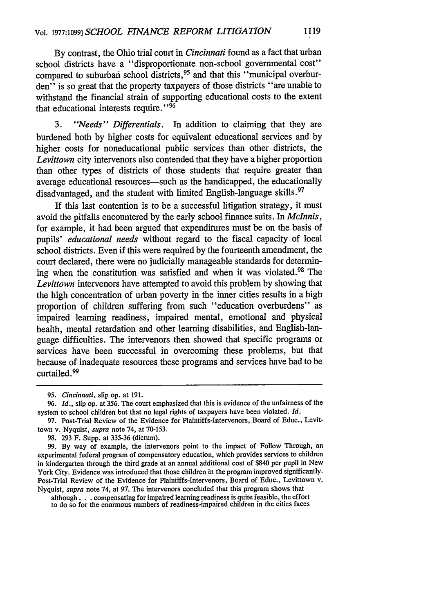By contrast, the Ohio trial court in *Cincinnati* found as a fact that urban school districts have a "disproportionate non-school governmental cost" compared to suburban school districts,<sup>95</sup> and that this "municipal overburden<sup>7</sup> is so great that the property taxpayers of those districts "are unable to withstand the financial strain of supporting educational costs to the extent that educational interests require."<sup>96</sup>

**1119**

*3. "Needs" Differentials.* In addition to claiming that they are burdened both by higher costs for equivalent educational services and by higher costs for noneducational public services than other districts, the *Levittown* city intervenors also contended that they have a higher proportion than other types of districts of those students that require greater than average educational resources-such as the handicapped, the educationally disadvantaged, and the student with limited English-language skills.<sup>97</sup>

If this last contention is to be a successful litigation strategy, it must avoid the pitfalls encountered by the early school finance suits. In *Mclnnis,* for example, it had been argued that expenditures must be on the basis of pupils' *educational needs* without regard to the fiscal capacity of local school districts. Even if this were required by the fourteenth amendment, the court declared, there were no judicially manageable standards for determining when the constitution was satisfied and when it was violated. 98 The *Levittown* intervenors have attempted to avoid this problem by showing that the high concentration of urban poverty in the inner cities results in a high proportion of children suffering from such "education overburdens" as impaired learning readiness, impaired mental, emotional and physical health, mental retardation and other learning disabilities, and English-language difficulties. The intervenors then showed that specific programs or services have been successful in overcoming these problems, but that because of inadequate resources these programs and services have had to be curtailed. <sup>99</sup>

*<sup>95.</sup> Cincinnati,* slip op. at 191.

*<sup>96.</sup> Id.,* slip op. at 356. The court emphasized that this is evidence of the unfairness of the system to school children but that no legal rights of taxpayers have been violated. *Id.*

**<sup>97.</sup>** Post-Trial Review of the Evidence for Plaintiffs-Intervenors, Board of Educ., Levittown v. Nyquist, *supra* note 74, at 70-153.

<sup>98. 293</sup> F. Supp. at 335-36 (dictum).

<sup>99.</sup> By way of example, the intervenors point to the impact of Follow Through, an experimental federal program of compensatory education, which provides services to children in kindergarten through the third grade at an annual additional cost of \$840 per pupil in New York City. Evidence was introduced that those children in the program improved significantly. Post-Trial Review of the Evidence for Plaintiffs-Intervenors, Board of Educ., Levittown v. Nyquist, *supra* note 74, at 97. The intervenors concluded that this program shows that

although. **. .** compensating for impaired learning readiness is quite feasible, the effort to do so for the enormous numbers of readiness-impaired children in the cities faces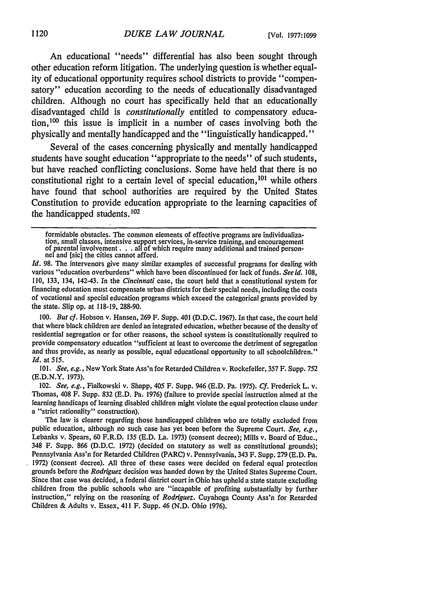An educational "needs" differential has also been sought through other education reform litigation. The underlying question is whether equality of educational opportunity requires school districts to provide "compensatory" education according to the needs of educationally disadvantaged children. Although no court has specifically held that an educationally disadvantaged child is *constitutionally* entitled to compensatory education,100 this issue is implicit in a number of cases involving both the physically and mentally handicapped and the "linguistically handicapped."

Several of the cases concerning physically and mentally handicapped students have sought education "appropriate to the needs" of such students, but have reached conflicting conclusions. Some have held that there is no constitutional right to a certain level of special education,<sup>101</sup> while others have found that school authorities are required by the United States Constitution to provide education appropriate to the learning capacities of the handicapped students. <sup>102</sup>

formidable obstacles. The common elements of effective programs are individualization, small classes, intensive support services, in-service training, and encouragement<br>of parental involvement . . . all of which require many additional and trained person-<br>net and [sic] the cities cannot afford.

*Id.* 98. The intervenors give many similar examples of successful programs for dealing with various "education overburdens" which have been discontinued for lack of funds. *See id.* 108, 110, 133, 134, 142-43. In the *Cincinnati* case, the court held that a constitutional system for financing education must compensate urban districts for their special needs, including the costs of vocational and special education programs which exceed the categorical grants provided by the state. Slip op. at 118-19, 288-90.

*100. But cf.* Hobson v. Hansen, **269** F. Supp. 401 **(D.D.C.** 1967). In that case, the court held that where black children are denied an integrated education, whether because of the density of residential segregation or for other reasons, the school system is constitutionally required to provide compensatory education "sufficient at least to overcome the detriment of segregation and thus provide, as nearly as possible, equal educational opportunity to all schoolchildren." *Id.* at *515.*

101. *See, e.g.,* New York State Ass'n for Retarded Children v. Rockefeller, 357 F. Supp. 752 (E.D.N.Y. 1973).

102. *See, e.g.,* Fialkowski v. Shapp, 405 F. Supp. 946 (E.D. Pa. 1975). *Cf.* Frederick L. v. Thomas, 408 F. Supp. 832 (E.D. Pa. 1976) (failure to provide special instruction aimed at the learning handicaps of learning disabled children might violate the equal protection clause under a "strict rationality" construction).

The law is clearer regarding those handicapped children who are totally excluded from public education, although no such case has yet been before the Supreme Court. *See, e.g.,* Lebanks v. Spears, 60 F.R.D. 135 (E.D. La. 1973) (consent decree); Mills v. Board of Educ., 348 F. Supp. **866 (D.D.C.** 1972) (decided on statutory as well as constitutional grounds); Pennsylvania Ass'n for Retarded Children (PARC) v. Pennsylvania, 343 F. Supp. 279 (E.D. Pa. 1972) (consent decree). All three of these cases were decided on federal equal protection grounds before the *Rodriguez* decision was handed down by the United States Supreme Court. Since that case was decided, a federal district court in Ohio has upheld a state statute excluding children from the public schools who are "incapable of profiting substantially **by** further instruction," relying on the reasoning of *Rodriguez.* Cuyahoga County Ass'n for Retarded Children & Adults v. Essex, 411 F. Supp. 46 (N.D. Ohio 1976).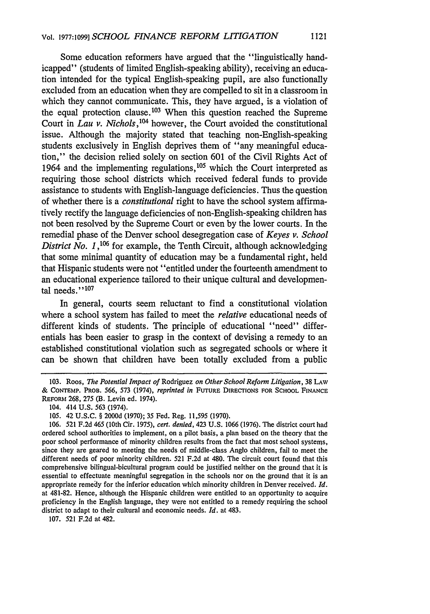Some education reformers have argued that the "linguistically handicapped" (students of limited English-speaking ability), receiving an education intended for the typical English-speaking pupil, are also functionally excluded from an education when they are compelled to sit in a classroom in which they cannot communicate. This, they have argued, is a violation of the equal protection clause.  $103$  When this question reached the Supreme Court in *Lau v. Nichols, <sup>104</sup>*however, the Court avoided the constitutional issue. Although the majority stated that teaching non-English-speaking students exclusively in English deprives them of "any meaningful education," the decision relied solely on section 601 of the Civil Rights Act of 1964 and the implementing regulations,  $105$  which the Court interpreted as requiring those school districts which received federal funds to provide assistance to students with English-language deficiencies. Thus the question of whether there is a *constitutional* right to have the school system affirmatively rectify the language deficiencies of non-English-speaking children has not been resolved by the Supreme Court or even by the lower courts. In the remedial phase of the Denver school desegregation case of *Keyes v. School District No. 1,*<sup>106</sup> for example, the Tenth Circuit, although acknowledging that some minimal quantity of education may be a fundamental right, held that Hispanic students were not "entitled under the fourteenth amendment to an educational experience tailored to their unique cultural and developmental needs." **1 07**

In general, courts seem reluctant to find a constitutional violation where a school system has failed to meet the *relative* educational needs of different kinds of students. The principle of educational "need" differentials has been easier to grasp in the context of devising a remedy to an established constitutional violation such as segregated schools or where it can be shown that children have been totally excluded from a public

107. 521 F.2d at 482.

<sup>103.</sup> Roos, *The Potential Impact of* Rodriguez *on Other School Reform Litigation,* 38 LAW & **CONTEMP. PROB.** 566, 573 (1974), *reprinted in* **FUTURE DIRECTIONS** FOR **SCHOOL FINANCE** REFORM 268, 275 (B. Levin ed. 1974).

<sup>104. 414</sup> U.S. 563 (1974).

<sup>105. 42</sup> U.S.C. § 2000d (1970); 35 Fed. Reg. 11,595 (1970).

<sup>106. 521</sup> F.2d 465 (10th Cir. 1975), *cert. denied,* 423 U.S. 1066 (1976). The district court had ordered school authorities to implement, on a pilot basis, a plan based on the theory that the poor school performance of minority children results from the fact that most school systems, since they are geared to meeting the needs of middle-class Anglo children, fail to meet the different needs of poor minority children. 521 F.2d at 480. The circuit court found that this comprehensive bilingual-bicultural program could be justified neither on the ground that it is essential to effectuate meaningful segregation in the schools nor on the ground that it is an appropriate remedy for the inferior education which minority children in Denver received. *Id.* at 481-82. Hence, although the Hispanic children were entitled to an opportunity to acquire proficiency in the English language, they were not entitled to a remedy requiring the school district to adapt to their cultural and economic needs. *Id.* at 483.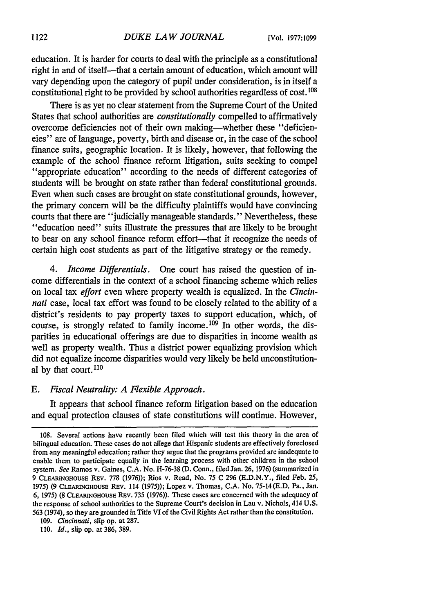education. It is harder for courts to deal with the principle as a constitutional right in and of itself—that a certain amount of education, which amount will vary depending upon the category of pupil under consideration, is in itself a constitutional right to be provided by school authorities regardless of cost. **<sup>108</sup>**

There is as yet no clear statement from the Supreme Court of the United States that school authorities are *constitutionally* compelled to affirmatively overcome deficiencies not of their own making-whether these "deficiencies" are of language, poverty, birth and disease or, in the case of the school finance suits, geographic location. It is likely, however, that following the example of the school finance reform litigation, suits seeking to compel "appropriate education" according to the needs of different categories of students will be brought on state rather than federal constitutional grounds. Even when such cases are brought on state constitutional grounds, however, the primary concern will be the difficulty plaintiffs would have convincing courts that there are "judicially manageable standards." Nevertheless, these "education need" suits illustrate the pressures that are likely to be brought to bear on any school finance reform effort—that it recognize the needs of certain high cost students as part of the litigative strategy or the remedy.

*4. Income Differentials.* One court has raised the question of income differentials in the context of a school financing scheme which relies on local tax effort even where property wealth is equalized. In the *Cincinnati* case, local tax effort was found to be closely related to the ability of a district's residents to pay property taxes to support education, which, of course, is strongly related to family income.<sup>109</sup> In other words, the disparities in educational offerings are due to disparities in income wealth as well as property wealth. Thus a district power equalizing provision which did not equalize income disparities would very likely be held unconstitutional by that court. <sup>110</sup>

#### *E. Fiscal Neutrality: A Flexible Approach.*

It appears that school finance reform litigation based on the education and equal protection clauses of state constitutions will continue. However,

<sup>108.</sup> Several actions have recently been filed which will test this theory in the area of bilingual education. These cases do not allege that Hispanic students are effectively foreclosed from any meaningful education; rather they argue that the programs provided are inadequate to enable them to participate equally in the learning process with other children in the school system. *See* Ramos v. Gaines, C.A. No. H-76-38 (D. Conn., filed Jan. 26, 1976) (summarized in 9 **CLEARINGHOUSE** REV. 778 (1976)); Rios v. Read, No. 75 C 296 (E.D.N.Y., filed Feb. *25,* 1975) (9 **CLEARINGHOUSE** REV. 114 (1975)); Lopez v. Thomas, C.A. No. 75-14 (E.D. Pa., Jan. 6, 1975) (8 **CLEARINGHOUSE** REV. 735 (1976)). These cases are concerned with the adequacy of the response of school authorities to the Supreme Court's decision in Lau v. Nichols, 414 **U.S.** 563 (1974), so they are grounded in Title VI of the Civil Rights Act rather than the constitution.

<sup>109.</sup> *Cincinnati,* slip op. at 287.

**<sup>110.</sup>** *Id.,* slip op. at 386, 389.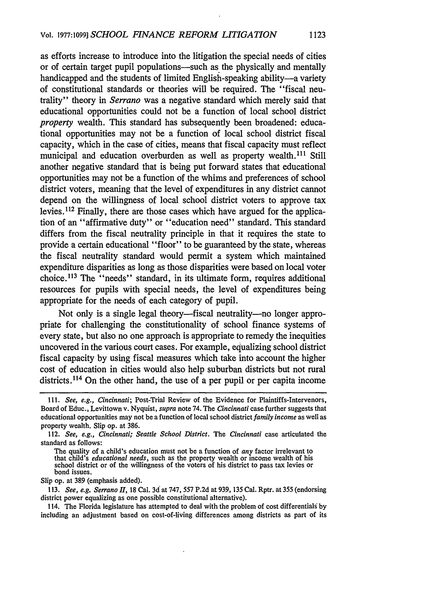as efforts increase to introduce into the litigation the special needs of cities or of certain target pupil populations—such as the physically and mentally handicapped and the students of limited English-speaking ability-a variety of constitutional standards or theories will be required. The "fiscal neutrality" theory in *Serrano* was a negative standard which merely said that educational opportunities could not be a function of local school district *property* wealth. This standard has subsequently been broadened: educational opportunities may not be a function of local school district fiscal capacity, which in the case of cities, means that fiscal capacity must reflect municipal and education overburden as well as property wealth.<sup>111</sup> Still another negative standard that is being put forward states that educational opportunities may not be a function of the whims and preferences of school district voters, meaning that the level of expenditures in any district cannot depend on the willingness of local school district voters to approve tax levies. 112 Finally, there are those cases which have argued for the application of an "affirmative duty" or "education need" standard. This standard differs from the fiscal neutrality principle in that it requires the state to provide a certain educational "floor" to be guaranteed by the state, whereas the fiscal neutrality standard would permit a system which maintained expenditure disparities as long as those disparities were based on local voter choice.113 The "needs" standard, in its ultimate form, requires additional resources for pupils with special needs, the level of expenditures being appropriate for the needs of each category of pupil.

Not only is a single legal theory—fiscal neutrality—no longer appropriate for challenging the constitutionality of school finance systems of every state, but also no one approach is appropriate to remedy the inequities uncovered in the various court cases. For example, equalizing school district fiscal capacity by using fiscal measures which take into account the higher cost of education in cities would also help suburban districts but not rural districts.<sup>114</sup> On the other hand, the use of a per pupil or per capita income

Slip op. at 389 (emphasis added).

113. *See, e.g. Serrano II,* 18 Cal. 3d at 747, 557 P.2d at 939, 135 Cal. Rptr. at 355 (endorsing district power equalizing as one possible constitutional alternative).

114. The Florida legislature has attempted to deal with the problem of cost differentials by including an adjustment based on cost-of-living differences among districts as part of its

**<sup>11.</sup>** *See, e.g., Cincinnati;* Post-Trial Review of the Evidence for Plaintiffs-Intervenors, Board of Educ., Levittown v. Nyquist, *supra* note 74. The *Cincinnati* case further suggests that educational opportunities may not be a function of local school district *family income* as well as property wealth. Slip op. at 386.

<sup>112.</sup> *See, e.g., Cincinnati; Seattle School District.* The *Cincinnati* case articulated the standard as follows:

The quality of a child's education must not be a function of *any* factor irrelevant to that child's *educational needs,* such as the property wealth or income wealth of his school district or of the willingness of the voters of his district to pass tax levies or bond issues.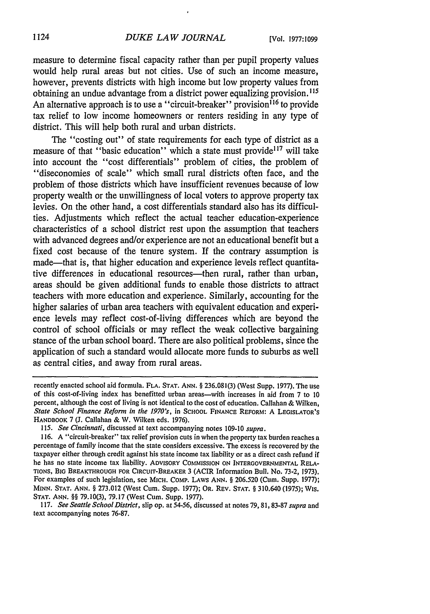measure to determine fiscal capacity rather than per pupil property values would help rural areas but not cities. Use of such an income measure, however, prevents districts with high income but low property values from obtaining an undue advantage from a district power equalizing provision. **"15** An alternative approach is to use a "circuit-breaker" provision<sup>116</sup> to provide tax relief to low income homeowners or renters residing in any type of district. This will help both rural and urban districts.

The "costing out" of state requirements for each type of district as a measure of that "basic education" which a state must provide<sup>117</sup> will take into account the "cost differentials" problem of cities, the problem of "diseconomies of scale" which small rural districts often face, and the problem of those districts which have insufficient revenues because of low property wealth or the unwillingness of local voters to approve property tax levies. On the other hand, a cost differentials standard also has its difficulties. Adjustments which reflect the actual teacher education-experience characteristics of a school district rest upon the assumption that teachers with advanced degrees and/or experience are not an educational benefit but a fixed cost because of the tenure system. If the contrary assumption is made—that is, that higher education and experience levels reflect quantitative differences in educational resources—then rural, rather than urban, areas should be given additional funds to enable those districts to attract teachers with more education and experience. Similarly, accounting for the higher salaries of urban area teachers with equivalent education and experience levels may reflect cost-of-living differences which are beyond the control of school officials or may reflect the weak collective bargaining stance of the urban school board. There are also political problems, since the application of such a standard would allocate more funds to suburbs as well as central cities, and away from rural areas.

117. *See Seattle School District,* slip op. at 54-56, discussed at notes 79, 81, 83-87 *supra* and text accompanying notes 76-87.

recently enacted school aid formula. FLA. **STAT. ANN.** § 236.081(3) (West Supp. 1977). The use of this cost-of-living index has benefitted urban areas-with increases in aid from 7 to 10 percent, although the cost of living is not identical to the cost of education. Callahan & Wilken, *State School Finance Reform in the 1970's,* in SCHOOL FINANCE REFORM: **A LEGISLATOR'S** HANDBOOK 7 **(J.** Callahan & W. Wilken eds. 1976).

*<sup>115.</sup> See Cincinnati,* discussed at text accompanying notes 109-10 *supra.*

<sup>116.</sup> A "circuit-breaker" tax relief provision cuts in when the property tax burden reaches a percentage of family income that the state considers excessive. The excess is recovered **by** the taxpayer either through credit against his state income tax liability or as a direct cash refund if he has no state income tax liability. ADVISORY COMMISSION **ON INTERGOVERNMENTAL** RELA-TIONS, BIG BREAKTHROUGH **FOR** CIRCUIT-BREAKER 3 (ACIR Information Bull. No. **73-2,** 1973). For examples of such legislation, see MICH. COMP. LAWS ANN. § 206.520 (Cum. Supp. 1977); MINN. **STAT.** ANN. § 273.012 (West Cum. Supp. 1977); OR. REV. **STAT.** § 310.640 (1975); Wis. **STAT. ANN.** §§ 79.10(3), 79.17 (West Cum. Supp. 1977).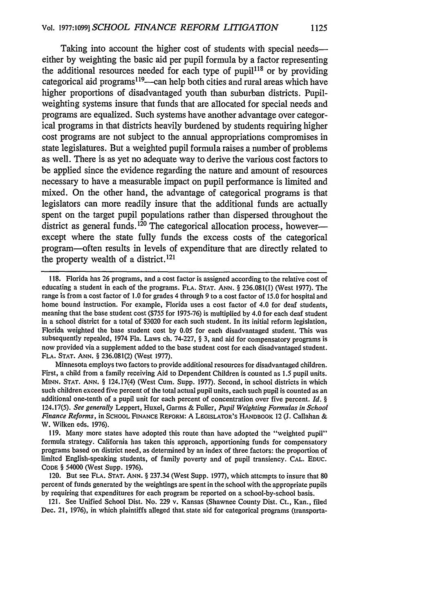Taking into account the higher cost of students with special needseither **by** weighting the basic aid per pupil formula **by** a factor representing the additional resources needed for each type **of pupil <sup>18</sup>**or **by** providing categorical aid programs<sup>119</sup>—can help both cities and rural areas which have higher proportions of disadvantaged youth than suburban districts. Pupilweighting systems insure that funds that are allocated for special needs and programs are equalized. Such systems have another advantage over categorical programs in that districts heavily burdened **by** students requiring higher cost programs are not subject to the annual appropriations compromises in state legislatures. But a weighted pupil formula raises a number of problems as well. There is as yet no adequate way to derive the various cost factors to be applied since the evidence regarding the nature and amount of resources necessary to have a measurable impact on pupil performance is limited and mixed. On the other hand, the advantage of categorical programs is that legislators can more readily insure that the additional funds are actually spent on the target pupil populations rather than dispersed throughout the district as general funds.<sup>120</sup> The categorical allocation process, howeverexcept where the state fully funds the excess costs of the categorical program-often results in levels of expenditure that are directly related to the property wealth of a district.<sup>121</sup>

Minnesota employs two factors to provide additional resources for disadvantaged children. First, a child from a family receiving Aid to Dependent Children is counted as 1.5 pupil units. MINN. STAT. ANN. § 124.17(4) (West Cum. Supp. 1977). Second, in school districts in which such children exceed five percent of the total actual pupil units, each such pupil is counted as an additional one-tenth of a pupil unit for each percent of concentration over five percent. *Id. §* 124.17(5). *See generally* Leppert, Huxel, Garms & Fuller, *Pupil Weighting Formulas in School Finance Reforms,* in **SCHOOL FINANCE REFORM:** A **LEGISLATOR'S** HANDBOOK 12 **(J.** Callahan & W. Wilken eds. 1976).

119. Many more states have adopted this route than have adopted the "weighted pupil" formula strategy. California has taken this approach, apportioning funds for compensatory programs based on district need, as determined by an index of three factors: the proportion of limited English-speaking students, of family poverty and of pupil transiency. **CAL. EDUC.** CODE § 54000 (West Supp. 1976).

120. But see **FLA. STAT.** ANN. § 237.34 (West Supp. 1977), which attempts to insure that **80** percent of funds generated by the weightings are spent in the school with the appropriate pupils by requiring that expenditures for each program be reported on a school-by-school basis.

121. See Unified School Dist. No. 229 v. Kansas (Shawnee County Dist. Ct., Kan., filed Dec. 21, 1976), in which plaintiffs alleged that state aid for categorical programs (transporta-

<sup>118.</sup> Florida has 26 programs, and a cost factor is assigned according to the relative cost of educating a student in each of the programs. **FLA. STAT. ANN.** § 236.081(l) (West 1977). The range is from a cost factor of 1.0 for grades 4 through 9 to a cost factor of 15.0 for hospital and home bound instruction. For example, Florida uses a cost factor of 4.0 for deaf students, meaning that the base student cost (\$755 for 1975-76) is multiplied by 4.0 for each deaf student in a school district for a total of \$3020 for each such student. In its initial reform legislation, Florida weighted the base student cost by 0.05 for each disadvantaged student. This was subsequently repealed, 1974 Fla. Laws ch. 74-227, § 3, and aid for compensatory programs is now provided via a supplement added to the base student cost for each disadvantaged student. FLA. STAT. **ANN.** § 236.081(2) (West 1977).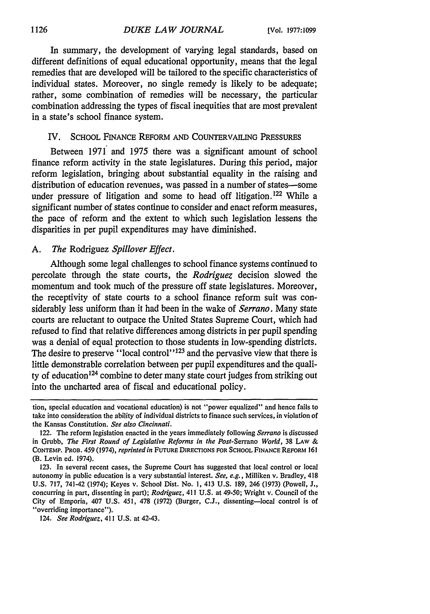In summary, the development of varying legal standards, based on different definitions of equal educational opportunity, means that the legal remedies that are developed will be tailored to the specific characteristics of individual states. Moreover, no single remedy is likely to be adequate; rather, some combination of remedies will be necessary, the particular combination addressing the types of fiscal inequities that are most prevalent in a state's school finance system.

### IV. **SCHOOL** FINANCE REFORM **AND** COUNTERVAILING **PRESSURES**

Between 1971 and 1975 there was a significant amount of school finance reform activity in the state legislatures. During this period, major reform legislation, bringing about substantial equality in the raising and distribution of education revenues, was passed in a number of states-some under pressure of litigation and some to head off litigation.<sup>122</sup> While a significant number of states continue to consider and enact reform measures, the pace of reform and the extent to which such legislation lessens the disparities in per pupil expenditures may have diminished.

### *A. The* Rodriguez *Spillover Effect.*

Although some legal challenges to school finance systems continued to percolate through the state courts, the *Rodriguez* decision slowed the momentum and took much of the pressure off state legislatures. Moreover, the receptivity of state courts to a school finance reform suit was considerably less uniform than it had been in the wake of *Serrano.* Many state courts are reluctant to outpace the United States Supreme Court, which had refused to find that relative differences among districts in per pupil spending was a denial of equal protection to those students in low-spending districts. The desire to preserve "local control"<sup>123</sup> and the pervasive view that there is little demonstrable correlation between per pupil expenditures and the quality of education'24 combine to deter many state court judges from striking out into the uncharted area of fiscal and educational policy.

124. *See Rodriguez,* 411 U.S. at 42-43.

tion, special education and vocational education) is not "power equalized" and hence fails to take into consideration the ability of individual districts to finance such services, in violation of the Kansas Constitution. *See also Cincinnati.*

<sup>122.</sup> The reform legislation enacted in the years immediately following *Serrano* is discussed in Grubb, *The First Round of Legislative Reforms in the Post-Serrano World,* 38 LAW & CONTEMP. PROB. 459 (1974), *reprinted in* **FUTURE** DIRECTIONS FOR SCHOOL FINANCE REFORM **161** (B. Levin ed. 1974).

<sup>123.</sup> In several recent cases, the Supreme Court has suggested that local control or local autonomy in public education is a very substantial interest. *See, e.g.,* Milliken v. Bradley, 418 **U.S.** 717, 741-42 (1974); Keyes v. School Dist. No. **1,** 413 U.S. **189,** 246 **(1973)** (Powell, **J.,** concurring in part, dissenting in part); *Rodriguez,* 411 U.S. at 49-50; Wright v. Council of the City of Emporia, 407 U.S. 451, 478 **(1972)** (Burger, C.J., dissenting-local control is of "overriding importance").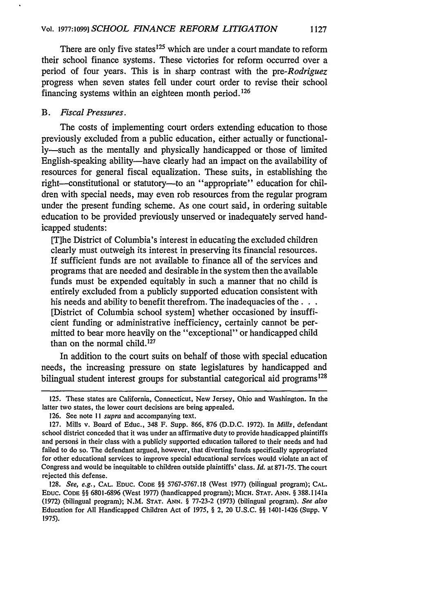There are only five states<sup>125</sup> which are under a court mandate to reform their school finance systems. These victories for reform occurred over a period of four years. This is in sharp contrast with the *pre-Rodriguez* progress when seven states fell under court order to revise their school financing systems within an eighteen month period. <sup>126</sup>

### *B. Fiscal Pressures.*

The costs of implementing court orders extending education to those previously excluded from a public education, either actually or functionally-such as the mentally and physically handicapped or those of limited English-speaking ability—have clearly had an impact on the availability of resources for general fiscal equalization. These suits, in establishing the right--constitutional or statutory--to an "appropriate" education for children with special needs, may even rob resources from the regular program under the present funding scheme. As one court said, in ordering suitable education to be provided previously unserved or inadequately served handicapped students:

[T]he District of Columbia's interest in educating the excluded children clearly must outweigh its interest in preserving its financial resources. If sufficient funds are not available to finance all of the services and programs that are needed and desirable in the system then the available funds must be expended equitably in such a manner that no child is entirely excluded from a publicly supported education consistent with his needs and ability to benefit therefrom. The inadequacies of the ... [District of Columbia school system] whether occasioned by insufficient funding or administrative inefficiency, certainly cannot be permitted to bear more heavily on the "exceptional" or handicapped child than on the normal child.<sup>127</sup>

In addition to the court suits on behalf of those with special education needs, the increasing pressure on state legislatures by handicapped and bilingual student interest groups for substantial categorical aid programs<sup>128</sup>

<sup>125.</sup> These states are California, Connecticut, New Jersey, Ohio and Washington. In the latter two states, the lower court decisions are being appealed.

<sup>126.</sup> See note 11 *supra* and accompanying text.

<sup>127.</sup> Mills v. Board of Educ., 348 F. Supp. 866, 876 (D.D.C. 1972). In *Mills,* defendant school district conceded that it was under an affirmative duty to provide handicapped plaintiffs and persons in their class with a publicly supported education tailored to their needs and had failed to do so. The defendant argued, however, that diverting funds specifically appropriated for other educational services to improve special educational services would violate an act of Congress and would be inequitable to children outside plaintiffs' class. *Id.* at 871-75. The court rejected this defense.

<sup>128.</sup> *See, e.g.,* **CAL. EDUC. CODE** §§ 5767-5767.18 (West 1977) (bilingual program); **CAL. EDUC. CODE** §§ 6801-6896 (West 1977) (handicapped program); MICH. **STAT. ANN.** § 388.1141a (1972) (bilingual program); N.M. **STAT.** ANN. § 77-23-2 (1973) (bilingual program). *See also* Education for All Handicapped Children Act of 1975, § 2, 20 U.S.C. §§ 1401-1426 (Supp. V 1975).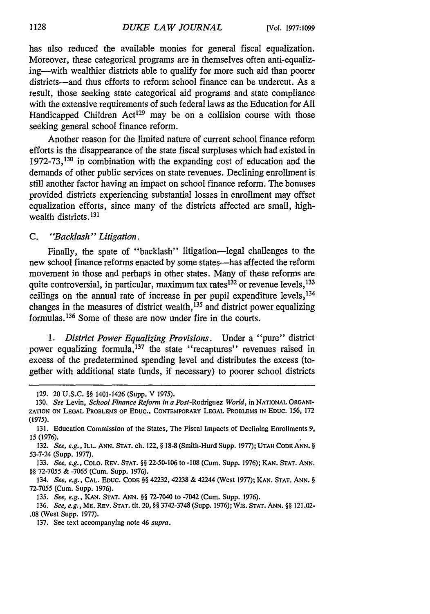has also reduced the available monies for general fiscal equalization. Moreover, these categorical programs are in themselves often anti-equalizing-with wealthier districts able to qualify for more such aid than poorer districts-and thus efforts to reform school finance can be undercut. As a result, those seeking state categorical aid programs and state compliance with the extensive requirements of such federal laws as the Education for All Handicapped Children Act<sup>129</sup> may be on a collision course with those seeking general school finance reform.

Another reason for the limited nature of current school finance reform efforts is the disappearance of the state fiscal surpluses which had existed in 1972-73,130 in combination with the expanding cost of education and the demands of other public services on state revenues. Declining enrollment is still another factor having an impact on school finance reform. The bonuses provided districts experiencing substantial losses in enrollment may offset equalization efforts, since many of the districts affected are small, highwealth districts. **131**

## *C. "Backlash" Litigation.*

Finally, the spate of "backlash" litigation—legal challenges to the new school finance reforms enacted by some states-has affected the reform movement in those and perhaps in other states. Many of these reforms are quite controversial, in particular, maximum tax rates<sup>132</sup> or revenue levels, <sup>133</sup> ceilings on the annual rate of increase in per pupil expenditure levels, <sup>134</sup> changes in the measures of district wealth, 135 and district power equalizing formulas. 136 Some of these are now under fire in the courts.

*1. District Power Equalizing Provisions.* Under a "pure" district power equalizing formula,<sup>137</sup> the state "recaptures" revenues raised in excess of the predetermined spending level and distributes the excess (together with additional state funds, if necessary) to poorer school districts

**<sup>129. 20</sup> U.S.C.** §§ 1401-1426 (Supp. V 1975).

<sup>130.</sup> *See* Levin, *School Finance Reform in a Post-Rodriguez World,* in **NATIONAL ORGANI-ZATION ON LEGAL** PROBLEMS OF **EDUC., CONTEMPORARY LEGAL** PROBLEMS **IN EDUC.** 156, **172 (1975).**

**<sup>131.</sup>** Education Commission of the States, The Fiscal Impacts of Declining Enrollments **9,** 15 (1976).

<sup>132.</sup> *See, e.g.,* ILL. **ANN. STAT. ch.** 122, § 18-8 (Smith-Hurd Sbpp. 1977); **UTAH CODE ANN.** § 53-7-24 (Supp. 1977).

<sup>133.</sup> *See, e.g.,* **COLO.** REV. **STAT.** §§ **22-50-106** to **-108** (Cum. Supp. **1976); KAN. STAT. ANN.** §§ 72-7055 & -7065 (Cum. Supp. 1976).

<sup>134.</sup> *See, e.g.,* **CAL. EDUC. CODE** §§ 42232, 42238 & 42244 (West 1977); **KAN. STAT. ANN.** § 72-7055 (Cum. Supp. 1976).

<sup>135.</sup> *See, e.g.,* **KAN. STAT. ANN.** §§ 72-7040 to -7042 (Cum. Supp. 1976).

<sup>136.</sup> *See, e.g.,* **ME.** REV. **STAT.** tit. 20, §§ 3742-3748 (Supp. 1976); Wis. **STAT.** *ANN.* §§ 121.02- .08 (West Supp. 1977).

<sup>137.</sup> See text accompanying note 46 *supra.*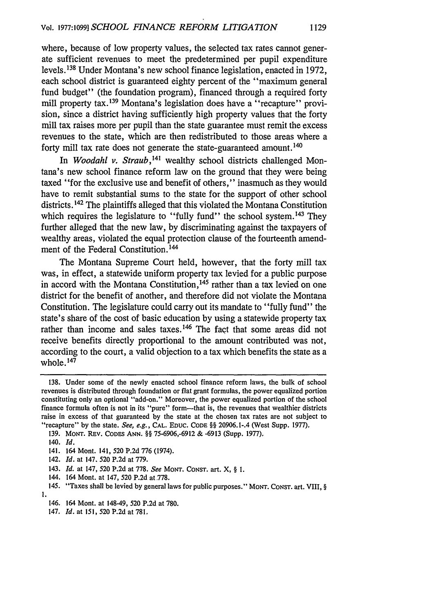where, because of low property values, the selected tax rates cannot generate sufficient revenues to meet the predetermined per pupil expenditure levels.138 Under Montana's new school finance legislation, enacted in 1972, each school district is guaranteed eighty percent of the "maximum general fund budget" (the foundation program), financed through a required forty mill property tax.<sup>139</sup> Montana's legislation does have a "recapture" provision, since a district having sufficiently high property values that the forty mill tax raises more per pupil than the state guarantee must remit the excess revenues to the state, which are then redistributed to those areas where a forty mill tax rate does not generate the state-guaranteed amount. 140

In *Woodahl v. Straub,141* wealthy school districts challenged Montana's new school finance reform law on the ground that they were being taxed "for the exclusive use and benefit of others," inasmuch as they would have to remit substantial sums to the state for the support of other school districts.<sup>142</sup> The plaintiffs alleged that this violated the Montana Constitution which requires the legislature to "fully fund" the school system.<sup>143</sup> They further alleged that the new law, by discriminating against the taxpayers of wealthy areas, violated the equal protection clause of the fourteenth amendment of the Federal Constitution.<sup>144</sup>

The Montana Supreme Court held, however, that the forty mill tax was, in effect, a statewide uniform property tax levied for a public purpose in accord with the Montana Constitution.<sup>145</sup> rather than a tax levied on one district for the benefit of another, and therefore did not violate the Montana Constitution. The legislature could carry out its mandate to "fully fund" the state's share of the cost of basic education by using a statewide property tax rather than income and sales taxes.<sup>146</sup> The fact that some areas did not receive benefits directly proportional to the amount contributed was not, according to the court, a valid objection to a tax which benefits the state as a whole. 1 47

142. *Id.* at 147. 520 P.2d at 779.

143. **Id.** at 147, 520 P.2d at 778. See MONT. CONST. art. X, § **1.**

- 144. 164 Mont. at 147, 520 P.2d at 778.
- 145. "Taxes shall be levied by general laws for public purposes." MONT. CoNsr. art. VIII, § 1.
	- 146. 164 Mont. at 148-49, 520 P.2d at 780.
	- 147. *Id.* at 151, 520 P.2d at 781.

<sup>138.</sup> Under some of the newly enacted school finance reform laws, the bulk of school revenues is distributed through foundation or flat grant formulas, the power equalized portion constituting only an optional "add-on." Moreover, the power equalized portion of the school finance formula often is not in its "pure" form-that is, the revenues that wealthier districts raise in excess of that guaranteed by the state at the chosen tax rates are not subject to "recapture" by the state. See, e.g., **CAL. EDUC. CODE** §§ 20906.1-.4 (West Supp. 1977).

<sup>139.</sup> MONT. REV. CODES ANN. §§ 75-6906,-6912 & -6913 (Supp. 1977).

<sup>140.</sup> *Id.*

<sup>141. 164</sup> Mont. 141, 520 P.2d 776 (1974).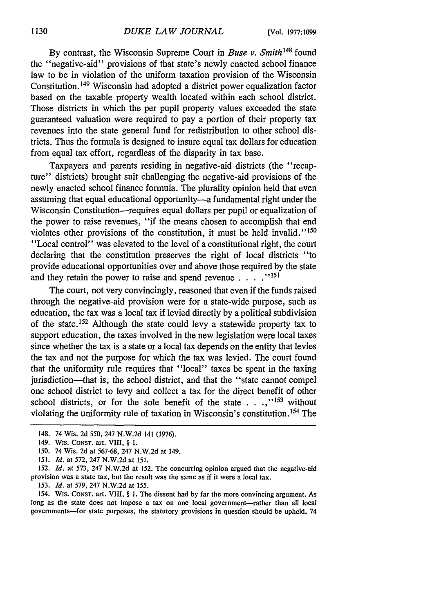By contrast, the Wisconsin Supreme Court in *Buse v. Smith148* found the "negative-aid" provisions of that state's newly enacted school finance law to be in violation of the uniform taxation provision of the Wisconsin Constitution. 149 Wisconsin had adopted a district power equalization factor based on the taxable property wealth located within each school district. Those districts in which the per pupil property values exceeded the state guaranteed valuation were required to pay a portion of their property tax revenues into the state general fund for redistribution to other school districts. Thus the formula is designed to insure equal tax dollars for education from equal tax effort, regardless of the disparity in tax base.

Taxpayers and parents residing in negative-aid districts (the "recapture" districts) brought suit challenging the negative-aid provisions of the newly enacted school finance formula. The plurality opinion held that even assuming that equal educational opportunity--- a fundamental right under the Wisconsin Constitution-requires equal dollars per pupil or equalization of the power to raise revenues, "if the means chosen to accomplish that end violates other provisions of the constitution, it must be held invalid."<sup>150</sup> "Local control" was elevated to the level of a constitutional right, the court declaring that the constitution preserves the right of local districts "to provide educational opportunities over and above those required by the state and they retain the power to raise and spend revenue **.... -151**

The court, not very convincingly, reasoned that even if the funds raised through the negative-aid provision were for a state-wide purpose, such as education, the tax was a local tax if levied directly by a political subdivision of the state. 152 Although the state could levy a statewide property tax to support education, the taxes involved in the new legislation were local taxes since whether the tax is a state or a local tax depends on the entity that levies the tax and not the purpose for which the tax was levied. The court found that the uniformity rule requires that "local" taxes be spent in the taxing jurisdiction—that is, the school district, and that the "state cannot compel one school district to levy and collect a tax for the direct benefit of other school districts, or for the sole benefit of the state  $\ldots$ <sup>153</sup> without violating the uniformity rule of taxation in Wisconsin's constitution. 154 The

153. *Id.* at 579, 247 N.W.2d at 155.

154. WIs. CoNsr. art. VIII, § **1.** The dissent had by far the more convincing argument. As long as the state does not impose a tax on one local government-rather than all local governments-for state purposes, the statutory provisions in question should be upheld. 74

<sup>148. 74</sup> Wis. 2d 550, 247 N.W.2d 141 (1976).

<sup>149.</sup> WIs. CONsT. art. VIII, § 1.

<sup>150. 74</sup> Wis. 2d at 567-68, 247 N.W.2d at 149.

*<sup>151.</sup> Id.* at 572, 247 N.W.2d at 151.

<sup>152.</sup> *Id.* at 573, 247 N.W.2d at 152. The concurring opinion argued that the negative-aid provision was a state tax, but the result was the same as if it were a local tax.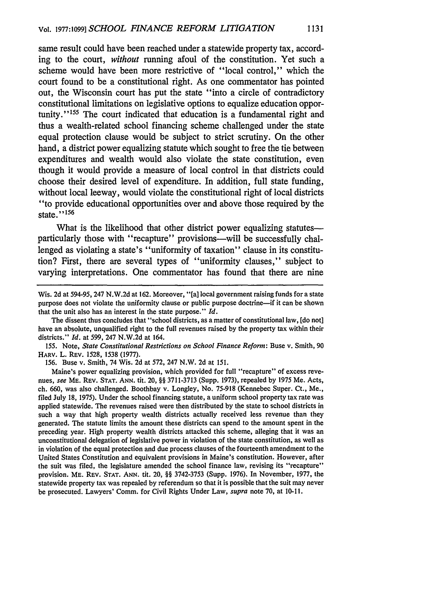same result could have been reached under a statewide property tax, according to the court, *without* running afoul of the constitution. Yet such a scheme would have been more restrictive of "local control," which the court found to be a constitutional right. As one commentator has pointed out, the Wisconsin court has put the state "into a circle of contradictory constitutional limitations on legislative options to equalize education opportunity."<sup>155</sup> The court indicated that education is a fundamental right and thus a wealth-related school financing scheme challenged under the state equal protection clause would be subject to strict scrutiny. On the other hand, a district power equalizing statute which sought to free the tie between expenditures and wealth would also violate the state constitution, even though it would provide a measure of local control in that districts could choose their desired level of expenditure. In addition, full state funding, without local leeway, would violate the constitutional right of local districts "to provide educational opportunities over and above those required by the state."<sup>156</sup>

What is the likelihood that other district power equalizing statutesparticularly those with "recapture" provisions-will be successfully challenged as violating a state's "uniformity of taxation" clause in its constitution? First, there are several types of "uniformity clauses," subject to varying interpretations. One commentator has found that there are nine

155. Note, *State Constitutional Restrictions on School Finance Reform:* Buse v. Smith, 90 HARv. L. REV. 1528, 1538 (1977).

156. Buse v. Smith, 74 Wis. 2d at 572, 247 N.W. 2d at 151.

Maine's power equalizing provision, which provided for full "recapture" of excess revenues, *see* ME. REV. **STAT.** ANN. tit. 20, §§ 3711-3713 (Supp. 1973), repealed by 1975 Me. Acts, ch. 660, was also challenged. Boothbay v. Longley, No. 75-918 (Kennebec Super. Ct., Me., filed July 18, 1975). Under the school financing statute, a uniform school property tax rate was applied statewide. The revenues raised were then distributed by the state to school districts in such a way that high property wealth districts actually received less revenue than they generated. The statute limits the amount these districts can spend to the amount spent in the preceding year. High property wealth districts attacked this scheme, alleging that it was an unconstitutional delegation of legislative power in violation of the state constitution, as well as in violation of the equal protection and due process clauses of the fourteenth amendment to the United States Constitution and equivalent provisions in Maine's constitution. However, after the suit was filed, the legislature amended the school finance law, revising its "recapture" provision. ME. REv. **STAT.** ANN. tit. 20, §§ 3742-3753 (Supp. 1976). In November, 1977, the statewide property tax was repealed by referendum so that it is possible that the suit may never be prosecuted. Lawyers' Comm. for Civil Rights Under Law, *supra* note 70, at 10-11.

Wis. 2d at 594-95, 247 N.W.2d at 162. Moreover, "[a] local government raising funds for a state purpose does not violate the uniformity clause or public purpose doctrine-if it can be shown that the unit also has an interest in the state purpose." *Id.*

The dissent thus concludes that "school districts, as a matter of constitutional law, [do not] have an absolute, unqualified right to the full revenues raised by the property tax within their districts." *Id.* at 599, 247 N.W.2d at 164.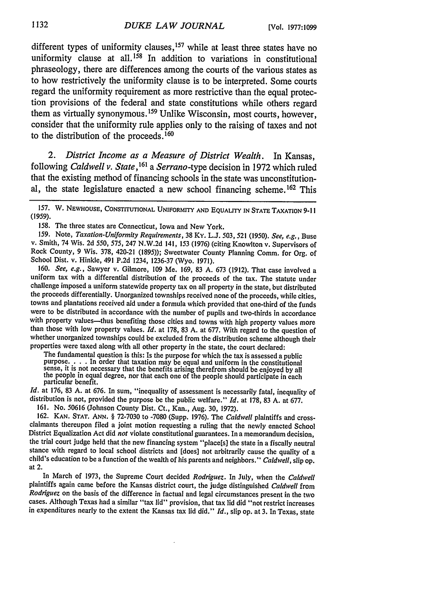different types of uniformity clauses,<sup>157</sup> while at least three states have no uniformity clause at all.<sup>158</sup> In addition to variations in constitutional phraseology, there are differences among the courts of the various states as to how restrictively the uniformity clause is to be interpreted. Some courts regard the uniformity requirement as more restrictive than the equal protection provisions of the federal and state constitutions while others regard them as virtually synonymous.159 Unlike Wisconsin, most courts, however, consider that the uniformity rule applies only to the raising of taxes and not to the distribution of the proceeds.160

*2. District Income as a Measure of District Wealth.* In Kansas, following *Caldwell v. State, 161 a Serrano-type* decision in 1972 which ruled that the existing method of financing schools in the state was unconstitutional, the state legislature enacted a new school financing scheme. 162 This

**157.** W. **NEWHOUSE, CONSTITUTIONAL** UNIFORMITY **AND EQUALITY IN STATE** TAXATION **9-11 (1959).**

158. The three states are Connecticut, Iowa and New York.<br>159. Note, Taxation-Uniformity Requirements, 38 Ky. L.J. 503, 521 (1950). See, e.g., Buse v. Smith, 74 Wis. 2d 550, 575, 247 N.W.2d 141, 153 (1976) (citing Knowlton v. Supervisors of Rock County, 9 Wis. 378, 420-21 (1895)); Sweetwater County Planning Comm. for Org. of School Dist. v. Hinkle, 491 P.2d 1234, 1236-37 (Wyo. 1971).

160. *See, e.g.,* Sawyer v. Gilmore, 109 Me. 169, 83 A. 673 (1912). That case involved a uniform tax with a differential distribution of the proceeds of the tax. The statute under challenge imposed a uniform statewide property tax on all property in the state, but distributed the proceeds differentially. Unorganized townships received none of the proceeds, while cities, towns and plantations received aid under a formula which provided that one-third of the funds were to be distributed in accordance with the number of pupils and two-thirds in accordance with property values—thus benefiting those cities and towns with high property values more than those with low property values. *Id.* at 178, 83 A. at 677. With regard to the question of whether unorganized townships could be excluded from the distribution scheme although their properties were taxed along with all other property in the state, the court declared:

The fundamental question is this: Is the purpose for which the tax is assessed a public purpose. . **.** . In order that taxation may be equal and uniform in the constitutional sense, it is not necessary that the benefits arising therefrom should be enjoyed by all the people in equal degree, nor that each one of the people should participate in each particular benefit.

Id. at 176, 83 A. at 676. In sum, "inequality of assessment is necessarily fatal, inequality of distribution is not, provided the purpose be the public welfare." *Id.* at 178, 83 A. at 677.

161. No. 50616 (Johnson County Dist. Ct., Kan., Aug. 30, 1972).

**162. KAN. STAT. ANN.** § 72-7030 to -7080 (Supp. 1976). The *Caldwell* plaintiffs and cross- claimants thereupon filed a joint motion requesting a ruling that the newly enacted School District Equalization Act did *not* violate constitutional guarantees. In a memorandum decision, the trial court judge held that the new financing system "place[s] the state in a fiscally neutral stance with regard to local school districts and [does] not arbitrarily cause the quality of a child's education to be a function of the wealth of his parents and neighbors." *Caldwell,* slip op. at 2.

In March of 1973, the Supreme Court decided *Rodriguez.* In July, when the *Caldwell* plaintiffs again came before the Kansas district court, the judge distinguished *Caldwell* from *Rodriguez* on the basis of the difference in factual and legal circumstances present in the two cases. Although Texas had a similar "tax lid" provision, that tax lid did "not restrict increases in expenditures nearly to the extent the Kansas tax lid did." *Id.,* slip op. at 3. In Texas, state

1132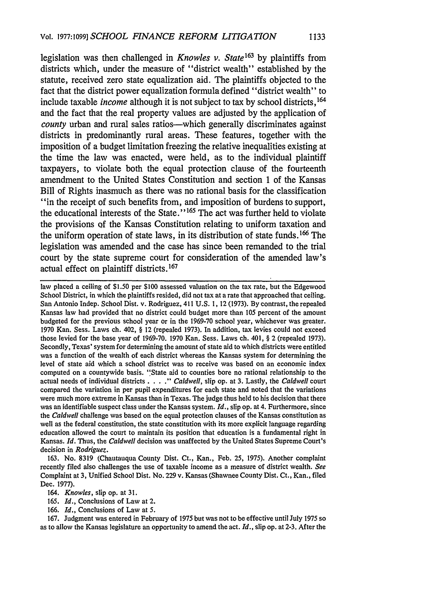legislation was then challenged in *Knowles v. State*<sup>163</sup> by plaintiffs from districts which, under the measure of "district wealth" established by the statute, received zero state equalization aid. The plaintiffs objected to the fact that the district power equalization formula defined "district wealth" to include taxable *income* although it is not subject to tax by school districts,<sup>164</sup> and the fact that the real property values are adjusted by the application of *county* urban and rural sales ratios—which generally discriminates against districts in predominantly rural areas. These features, together with the imposition of a budget limitation freezing the relative inequalities existing at the time the law was enacted, were held, as to the individual plaintiff taxpayers, to violate both the equal protection clause of the fourteenth amendment to the United States Constitution and section 1 of the Kansas Bill of Rights inasmuch as there was no rational basis for the classification "in the receipt of such benefits from, and imposition of burdens to support, the educational interests of the State."<sup>165</sup> The act was further held to violate the provisions of the Kansas Constitution relating to uniform taxation and the uniform operation of state laws, in its distribution of state funds. **1 <sup>66</sup>**The legislation was amended and the case has since been remanded to the trial court by the state supreme court for consideration of the amended law's actual effect on plaintiff districts. <sup>167</sup>

law placed a ceiling of \$1.50 per \$100 assessed valuation on the tax rate, but the Edgewood School District, in which the plaintiffs resided, did not tax at a rate that approached that ceiling. San Antonio Indep. School Dist. v. Rodriguez, 411 U.S. 1, 12 (1973). By contrast, the repealed Kansas law had provided that no district could budget more than 105 percent of the amount budgeted for the previous school year or in the 1969-70 school year, whichever was greater. 1970 Kan. Sess. Laws ch. 402, § 12 (repealed 1973). In addition, tax levies could not exceed those levied for the base year of 1969-70. 1970 Kan. Sess. Laws ch. 401, § 2 (repealed 1973). Secondly, Texas' system for determining the amount of state aid to which districts were entitled was a function of the wealth of each district whereas the Kansas system for determining the level of state aid which a school district was to receive was based on an economic index computed on a countywide basis. "State aid to counties bore no rational relationship to the actual needs of individual districts ....- *Caldwell,* slip op. at **3.** Lastly, the *Caldwell* court compared the variation in per pupil expenditures for each state and noted that the variations were much more extreme in Kansas than in Texas. The judge thus held to his decision that there was an identifiable suspect class under the Kansas system. *Id.,* slip op. at 4. Furthermore, since the *Caldwell* challenge was based on the equal protection clauses of the Kansas constitution as well as the federal constitution, the state constitution with its more explicit language regarding education allowed the court to maintain its position that education is a fundamental right in Kansas. *Id.* Thus, the *Caldwell* decision was unaffected by the United States Supreme Court's decision in *Rodriguez.*

163. No. 8319 (Chautauqua County Dist. Ct., Kan., Feb. 25, 1975). Another complaint recently filed also challenges the use of taxable income as a measure of district wealth. *See* Complaint at 3, Unified School Dist. No. 229 v. Kansas (Shawnee County Dist. Ct., Kan., filed Dec. 1977).

165. *Id.,* Conclusions of Law at 2.

166. *Id.,* Conclusions of Law at 5.

167. Judgment was entered in February of 1975 but was not to be effective until July 1975 so as to allow the Kansas legislature an opportunity to amend the act. *Id.,* slip op. at 2-3. After the

*<sup>164.</sup> Knowles,* slip op. at 31.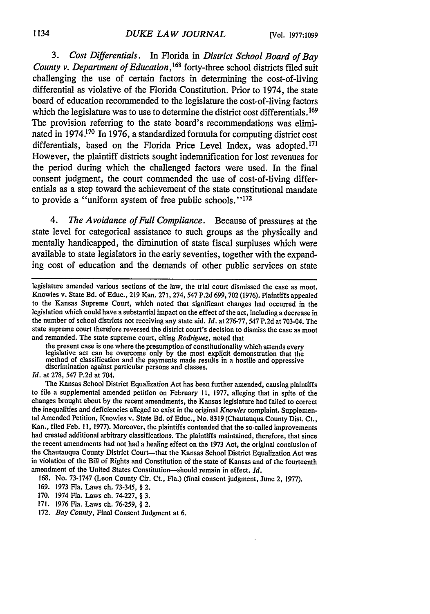*3. Cost Differentials.* In Florida in *District School Board of Bay County v. Department of Education*,<sup>168</sup> forty-three school districts filed suit challenging the use of certain factors in determining the cost-of-living differential as violative of the Florida Constitution. Prior to 1974, the state board of education recommended to the legislature the cost-of-living factors which the legislature was to use to determine the district cost differentials. **1 69** The provision referring to the state board's recommendations was eliminated in 1974.170 In 1976, a standardized formula for computing district cost differentials, based on the Florida Price Level Index, was adopted.<sup>171</sup> However, the plaintiff districts sought indemnification for lost revenues for the period during which the challenged factors were used. In the final consent judgment, the court commended the use of cost-of-living differentials as a step toward the achievement of the state constitutional mandate to provide a "uniform system of free public schools." **1 72**

*4. The Avoidance of Full Compliance.* Because of pressures at the state level for categorical assistance to such groups as the physically and mentally handicapped, the diminution of state fiscal surpluses which were available to state legislators in the early seventies, together with the expanding cost of education and the demands of other public services on state

and remanded. The state supreme court, citing *Rodriguez,* noted that legislative act can be overcome only by the most explicit demonstration that the method of classification and the payments made results in a hostile and oppressive discrimination against particular persons and classes.

*Id.* at 278, 547 P.2d at 704.

The Kansas School District Equalization Act has been further amended, causing plaintiffs to file a supplemental amended petition on February 11, 1977, alleging that in spite of the changes brought about by the recent amendments, the Kansas legislature had failed to correct the inequalities and deficiencies alleged to exist in the original *Knowles* complaint. Supplemental Amended Petition, Knowles v. State Bd. of Educ., No. 8319 (Chautauqua County Dist. Ct., Kan., filed Feb. **1** I, 1977). Moreover, the plaintiffs contended that the so-called improvements had created additional arbitrary classifications. The plaintiffs maintained, therefore, that since the recent amendments had not had a healing effect on the 1973 Act, the original conclusion of the Chautauqua County District Court—that the Kansas School District Equalization Act was in violation of the Bill of Rights and Constitution of the state of Kansas and of the fourteenth amendment of the United States Constitution-should remain in effect. *Id.*

168. No. 73-1747 (Leon County Cir. Ct., Fla.) (final consent judgment, June 2, 1977).

169. 1973 Fla. Laws ch. 73-345, § 2.

legislature amended various sections of the law, the trial court dismissed the case as moot. Knowles v. State Bd. of Educ., 219 Kan. 271, 274, 547 P.2d 699,702 (1976). Plaintiffs appealed to the Kansas Supreme Court, which noted that significant changes had occurred in the legislation which could have a substantial impact on the effect of the act, including a decrease in the number of school districts not receiving any state aid. *Id.* at 276-77, 547 P.2d at 703-04. The state supreme court therefore reversed the district court's decision to dismiss the case as moot

<sup>170. 1974</sup> Fla. Laws ch. 74-227, § 3.

<sup>171. 1976</sup> Fla. Laws ch. 76-259, § 2.

<sup>172.</sup> *Bay County,* Final Consent Judgment at 6.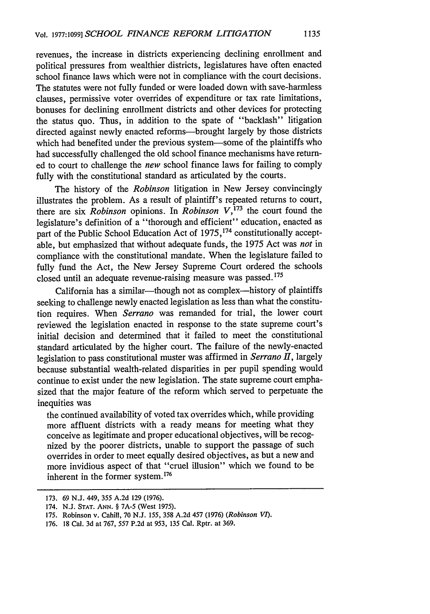revenues, the increase in districts experiencing declining enrollment and political pressures from wealthier districts, legislatures have often enacted school finance laws which were not in compliance with the court decisions. The statutes were not fully funded or were loaded down with save-harmless clauses, permissive voter overrides of expenditure or tax rate limitations, bonuses for declining enrollment districts and other devices for protecting the status quo. Thus, in addition to the spate of "backlash" litigation directed against newly enacted reforms-brought largely by those districts which had benefited under the previous system-some of the plaintiffs who had successfully challenged the old school finance mechanisms have returned to court to challenge the *new* school finance laws for failing to comply fully with the constitutional standard as articulated by the courts.

The history of the *Robinson* litigation in New Jersey convincingly illustrates the problem. As a result of plaintiff's repeated returns to court, there are six *Robinson* opinions. In *Robinson V*,<sup>173</sup> the court found the legislature's definition of a "thorough and efficient" education, enacted as part of the Public School Education Act of 1975,<sup>174</sup> constitutionally acceptable, but emphasized that without adequate funds, the 1975 Act was *not* in compliance with the constitutional mandate. When the legislature failed to fully fund the Act, the New Jersey Supreme Court ordered the schools closed until an adequate revenue-raising measure was passed. **<sup>1</sup> 7 5**

California has a similar-though not as complex-history of plaintiffs seeking to challenge newly enacted legislation as less than what the constitution requires. When *Serrano* was remanded for trial, the lower court reviewed the legislation enacted in response to the state supreme court's initial decision and determined that it failed to meet the constitutional standard articulated by the higher court. The failure of the newly-enacted legislation to pass constitutional muster was affirmed in *Serrano II,* largely because substantial wealth-related disparities in per pupil spending would continue to exist under the new legislation. The state supreme court emphasized that the major feature of the reform which served to perpetuate the inequities was

the continued availability of voted tax overrides which, while providing more affluent districts with a ready means for meeting what they conceive as legitimate and proper educational objectives, will be recognized by the poorer districts, unable to support the passage of such overrides in order to meet equally desired objectives, as but a new and more invidious aspect of that "cruel illusion" which we found to be inherent in the former system.<sup>176</sup>

<sup>173. 69</sup> N.J. 449, 355 A.2d 129 (1976).

<sup>174.</sup> N.J. **STAT. ANN.** § 7A-5 (West 1975).

<sup>175.</sup> Robinson v. Cahill, 70 N.J. *155,* 358 A.2d 457 (1976) *(Robinson VI).*

<sup>176. 18</sup> Cal. 3d at 767, 557 P.2d at 953, 135 Cal. Rptr. at 369.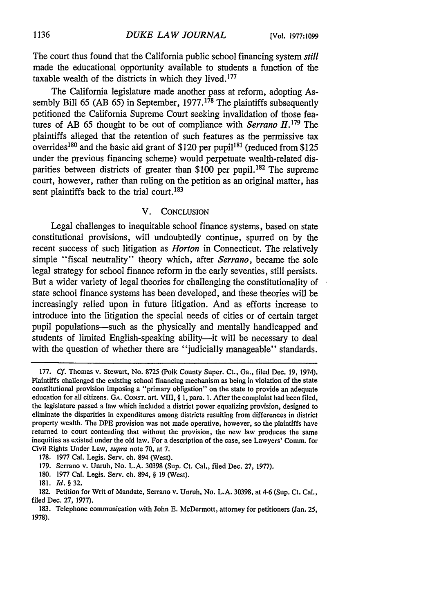The court thus found that the California public school financing system *still* made the educational opportunity available to students a function of the taxable wealth of the districts in which they lived.<sup>177</sup>

The California legislature made another pass at reform, adopting Assembly Bill 65 (AB 65) in September,  $1977$ ,  $1^{78}$  The plaintiffs subsequently petitioned the California Supreme Court seeking invalidation of those features of AB 65 thought to be out of compliance with *Serrano*  $H$ <sup>179</sup>. The plaintiffs alleged that the retention of such features as the permissive tax overrides<sup>180</sup> and the basic aid grant of \$120 per pupil<sup>181</sup> (reduced from \$125) under the previous financing scheme) would perpetuate wealth-related disparities between districts of greater than \$100 per pupil.<sup>182</sup> The supreme court, however, rather than ruling on the petition as an original matter, has sent plaintiffs back to the trial court.<sup>183</sup>

#### V. CONCLUSION

Legal challenges to inequitable school finance systems, based on state constitutional provisions, will undoubtedly continue, spurred on by the recent success of such litigation as *Horton* in Connecticut. The relatively simple "fiscal neutrality" theory which, after *Serrano,* became the sole legal strategy for school finance reform in the early seventies, still persists. But a wider variety of legal theories for challenging the constitutionality of state school finance systems has been developed, and these theories will be increasingly relied upon in future litigation. And as efforts increase to introduce into the litigation the special needs of cities or of certain target pupil populations—such as the physically and mentally handicapped and students of limited English-speaking ability—it will be necessary to deal with the question of whether there are "judicially manageable" standards.

<sup>177.</sup> *Cf.* Thomas v. Stewart, No. 8725 (Polk County Super. Ct., Ga., filed Dec. 19, 1974). Plaintiffs challenged the existing school financing mechanism as being in violation of the state constitutional provision imposing a "primary obligation" on the state to provide an adequate education for all citizens. GA. CONST. art. VIII, § **1,** para. **1.** After the complaint had been filed, the legislature passed a law which included a district power equalizing provision, designed to eliminate the disparities in expenditures among districts resulting from differences in district property wealth. The DPE provision was not made operative, however, so the plaintiffs have returned to court contending that without the provision, the new law produces the same inequities as existed under the old law. For a description of the case, see Lawyers' Comm. for Civil Rights Under Law, supra note 70, at 7.

<sup>178. 1977</sup> Cal. Legis. Serv. ch. 894 (West).

<sup>179.</sup> Serrano v. Unruh, No. L.A. 30398 (Sup. Ct. Cal., filed Dec. 27, 1977).

<sup>180. 1977</sup> Cal. Legis. Serv. ch. 894, § 19 (West).

<sup>181.</sup> **Id. § 32.**

<sup>182.</sup> Petition for Writ of Mandate, Serrano v. Unruh, No. L.A. 30398, at 4-6 (Sup. Ct. Cal., filed Dec. 27, 1977).

<sup>183.</sup> Telephone communication with John E. McDermott, attorney for petitioners (Jan. 25, 1978).